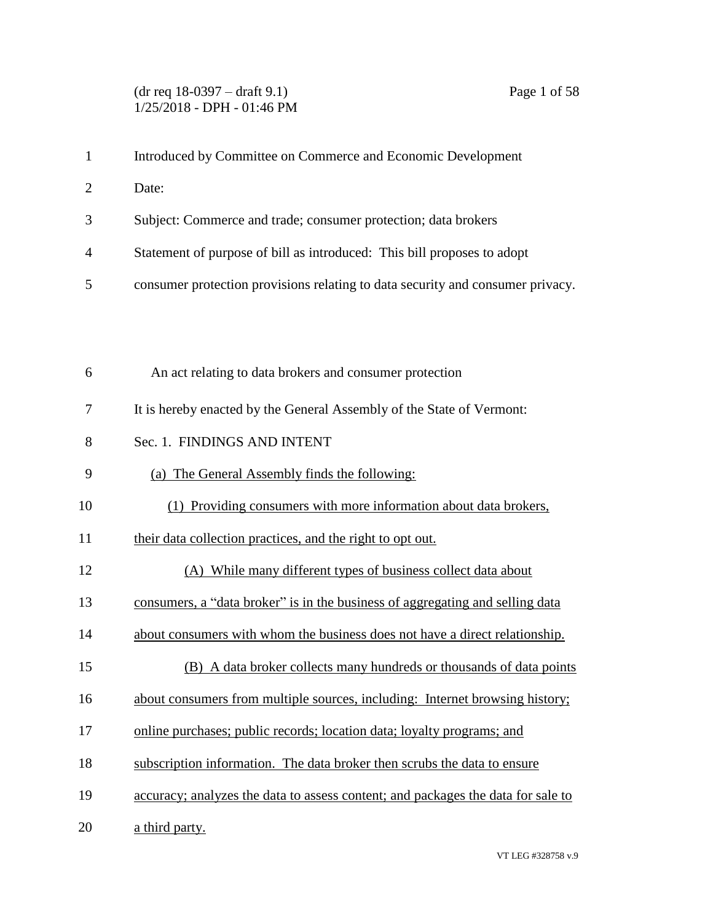## (dr req 18-0397 – draft 9.1) Page 1 of 58 1/25/2018 - DPH - 01:46 PM

| $\mathbf{1}$   | Introduced by Committee on Commerce and Economic Development                     |
|----------------|----------------------------------------------------------------------------------|
| $\overline{2}$ | Date:                                                                            |
| 3              | Subject: Commerce and trade; consumer protection; data brokers                   |
| 4              | Statement of purpose of bill as introduced: This bill proposes to adopt          |
| 5              | consumer protection provisions relating to data security and consumer privacy.   |
|                |                                                                                  |
|                |                                                                                  |
| 6              | An act relating to data brokers and consumer protection                          |
| 7              | It is hereby enacted by the General Assembly of the State of Vermont:            |
| 8              | Sec. 1. FINDINGS AND INTENT                                                      |
| 9              | (a) The General Assembly finds the following:                                    |
| 10             | (1) Providing consumers with more information about data brokers,                |
| 11             | their data collection practices, and the right to opt out.                       |
| 12             | (A) While many different types of business collect data about                    |
| 13             | consumers, a "data broker" is in the business of aggregating and selling data    |
| 14             | about consumers with whom the business does not have a direct relationship.      |
| 15             | (B) A data broker collects many hundreds or thousands of data points             |
| 16             | about consumers from multiple sources, including: Internet browsing history;     |
| 17             | online purchases; public records; location data; loyalty programs; and           |
| 18             | subscription information. The data broker then scrubs the data to ensure         |
| 19             | accuracy; analyzes the data to assess content; and packages the data for sale to |
| 20             | a third party.                                                                   |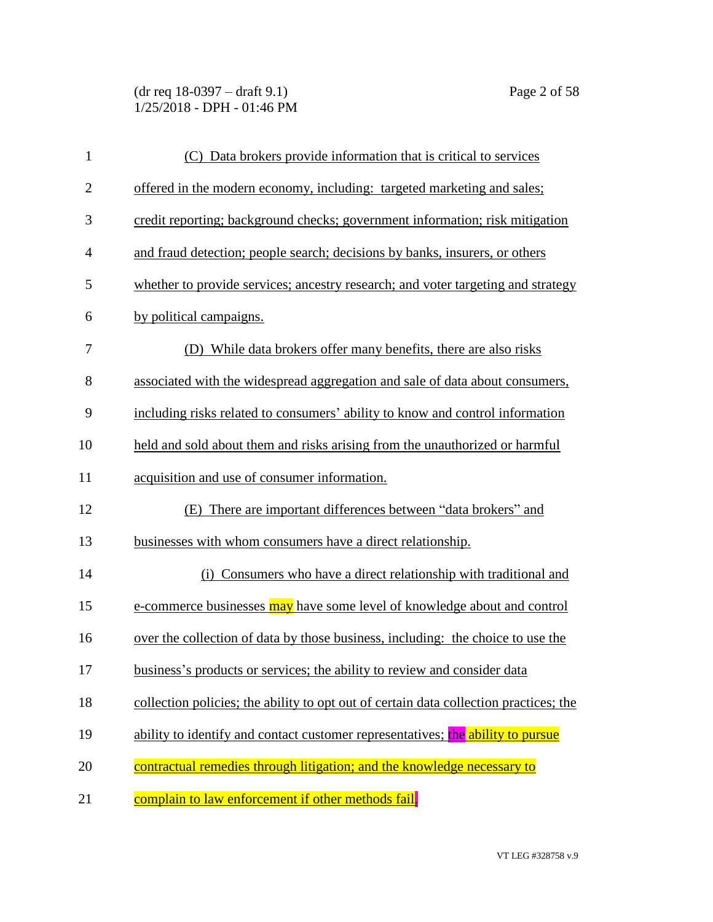(dr req 18-0397 – draft 9.1) Page 2 of 58 1/25/2018 - DPH - 01:46 PM

| $\mathbf{1}$   | (C) Data brokers provide information that is critical to services                     |
|----------------|---------------------------------------------------------------------------------------|
| $\mathbf{2}$   | offered in the modern economy, including: targeted marketing and sales;               |
| 3              | credit reporting; background checks; government information; risk mitigation          |
| $\overline{4}$ | and fraud detection; people search; decisions by banks, insurers, or others           |
| 5              | whether to provide services; ancestry research; and voter targeting and strategy      |
| 6              | by political campaigns.                                                               |
| 7              | (D) While data brokers offer many benefits, there are also risks                      |
| 8              | associated with the widespread aggregation and sale of data about consumers,          |
| 9              | including risks related to consumers' ability to know and control information         |
| 10             | held and sold about them and risks arising from the unauthorized or harmful           |
| 11             | acquisition and use of consumer information.                                          |
| 12             | (E) There are important differences between "data brokers" and                        |
| 13             | businesses with whom consumers have a direct relationship.                            |
| 14             | (i) Consumers who have a direct relationship with traditional and                     |
| 15             | e-commerce businesses may have some level of knowledge about and control              |
| 16             | over the collection of data by those business, including: the choice to use the       |
| 17             | business's products or services; the ability to review and consider data              |
| 18             | collection policies; the ability to opt out of certain data collection practices; the |
| 19             | ability to identify and contact customer representatives; the ability to pursue       |
| 20             | contractual remedies through litigation; and the knowledge necessary to               |
| 21             | complain to law enforcement if other methods fail.                                    |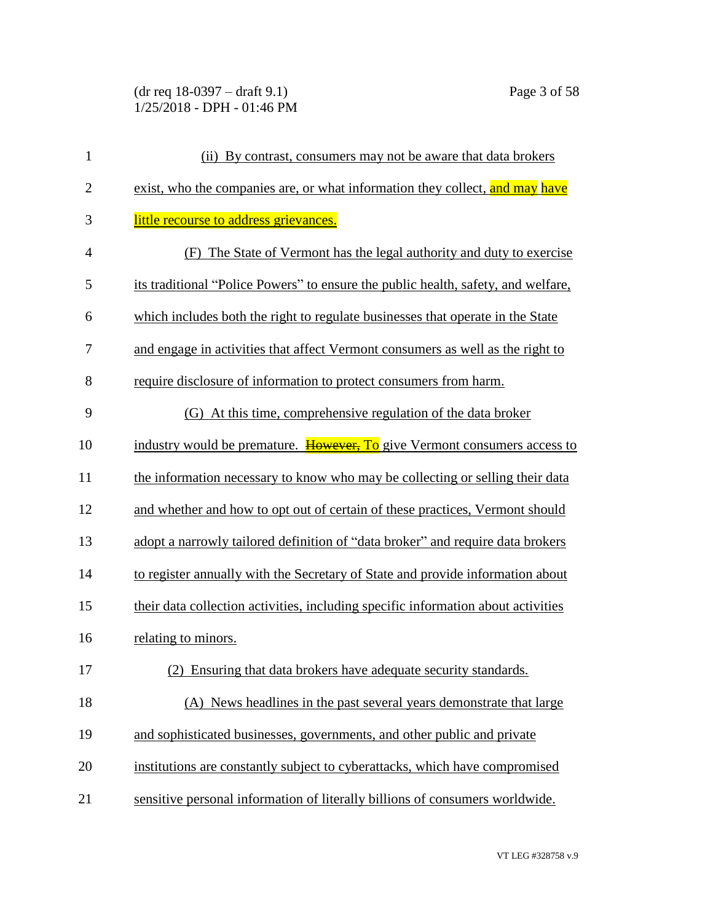(dr req 18-0397 – draft 9.1) Page 3 of 58 1/25/2018 - DPH - 01:46 PM

| $\mathbf{1}$   | (ii) By contrast, consumers may not be aware that data brokers                    |
|----------------|-----------------------------------------------------------------------------------|
| $\overline{c}$ | exist, who the companies are, or what information they collect, and may have      |
| 3              | little recourse to address grievances.                                            |
| $\overline{4}$ | (F) The State of Vermont has the legal authority and duty to exercise             |
| 5              | its traditional "Police Powers" to ensure the public health, safety, and welfare, |
| 6              | which includes both the right to regulate businesses that operate in the State    |
| 7              | and engage in activities that affect Vermont consumers as well as the right to    |
| 8              | require disclosure of information to protect consumers from harm.                 |
| 9              | (G) At this time, comprehensive regulation of the data broker                     |
| 10             | industry would be premature. However, To give Vermont consumers access to         |
| 11             | the information necessary to know who may be collecting or selling their data     |
| 12             | and whether and how to opt out of certain of these practices, Vermont should      |
| 13             | adopt a narrowly tailored definition of "data broker" and require data brokers    |
| 14             | to register annually with the Secretary of State and provide information about    |
| 15             | their data collection activities, including specific information about activities |
| 16             | relating to minors.                                                               |
| 17             | (2) Ensuring that data brokers have adequate security standards.                  |
| 18             | (A) News headlines in the past several years demonstrate that large               |
| 19             | and sophisticated businesses, governments, and other public and private           |
| 20             | institutions are constantly subject to cyberattacks, which have compromised       |
| 21             | sensitive personal information of literally billions of consumers worldwide.      |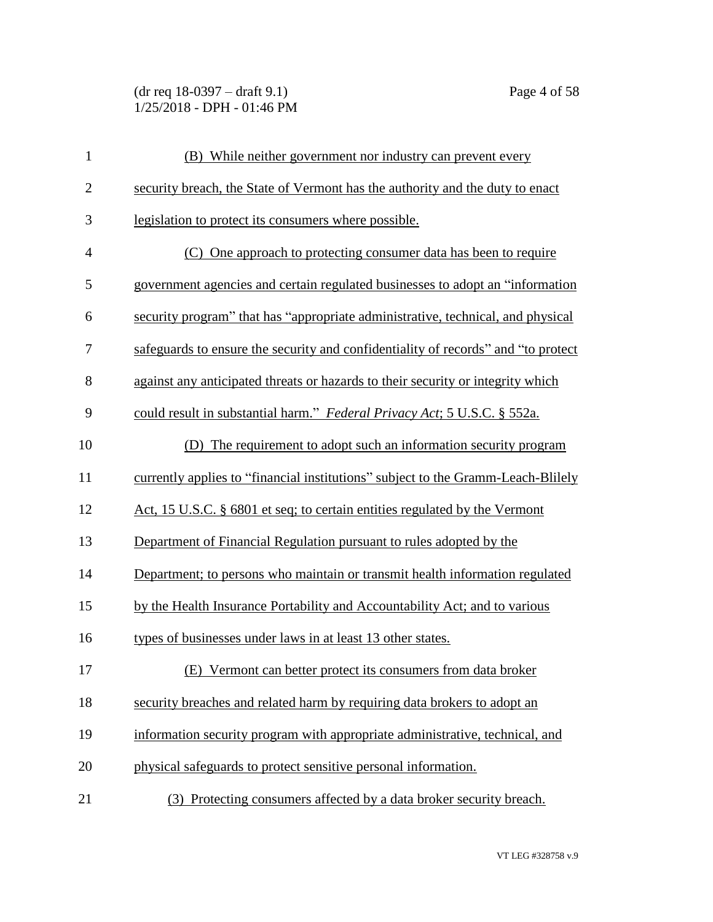(dr req 18-0397 – draft 9.1) Page 4 of 58 1/25/2018 - DPH - 01:46 PM

| $\mathbf{1}$   | (B) While neither government nor industry can prevent every                       |
|----------------|-----------------------------------------------------------------------------------|
| $\mathbf{2}$   | security breach, the State of Vermont has the authority and the duty to enact     |
| 3              | legislation to protect its consumers where possible.                              |
| $\overline{4}$ | (C) One approach to protecting consumer data has been to require                  |
| 5              | government agencies and certain regulated businesses to adopt an "information"    |
| 6              | security program" that has "appropriate administrative, technical, and physical   |
| 7              | safeguards to ensure the security and confidentiality of records" and "to protect |
| 8              | against any anticipated threats or hazards to their security or integrity which   |
| 9              | could result in substantial harm." Federal Privacy Act; 5 U.S.C. § 552a.          |
| 10             | The requirement to adopt such an information security program<br>(D)              |
| 11             | currently applies to "financial institutions" subject to the Gramm-Leach-Blilely  |
| 12             | Act, 15 U.S.C. § 6801 et seq; to certain entities regulated by the Vermont        |
| 13             | Department of Financial Regulation pursuant to rules adopted by the               |
| 14             | Department; to persons who maintain or transmit health information regulated      |
| 15             | by the Health Insurance Portability and Accountability Act; and to various        |
| 16             | types of businesses under laws in at least 13 other states.                       |
| 17             | (E) Vermont can better protect its consumers from data broker                     |
| 18             | security breaches and related harm by requiring data brokers to adopt an          |
| 19             | information security program with appropriate administrative, technical, and      |
| 20             | physical safeguards to protect sensitive personal information.                    |
| 21             | (3) Protecting consumers affected by a data broker security breach.               |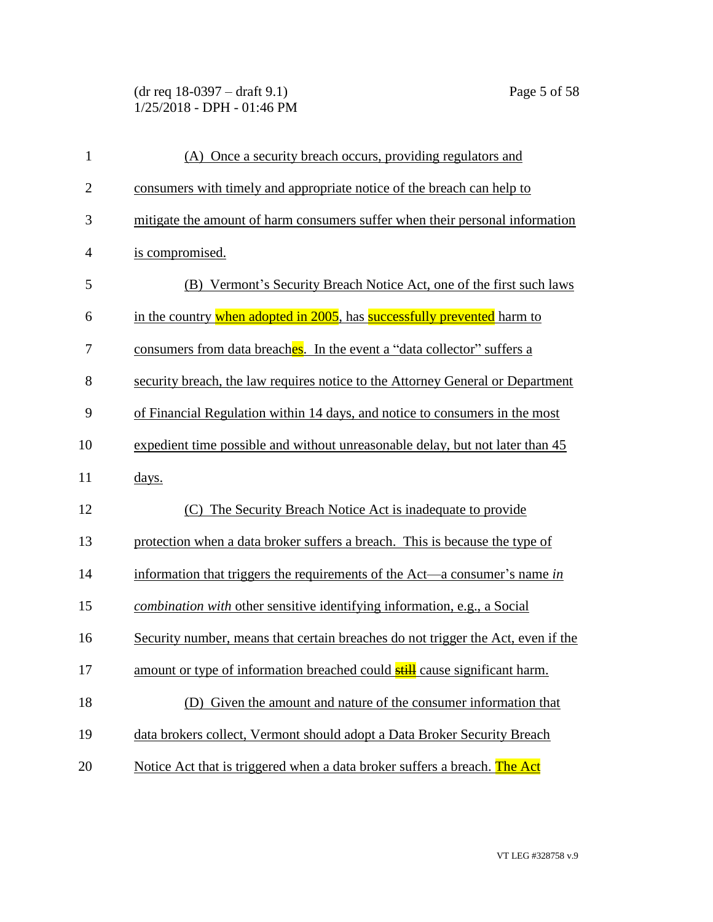(dr req 18-0397 – draft 9.1) Page 5 of 58 1/25/2018 - DPH - 01:46 PM

| $\mathbf{1}$   | (A) Once a security breach occurs, providing regulators and                      |
|----------------|----------------------------------------------------------------------------------|
| $\overline{2}$ | consumers with timely and appropriate notice of the breach can help to           |
| 3              | mitigate the amount of harm consumers suffer when their personal information     |
| $\overline{4}$ | is compromised.                                                                  |
| 5              | (B) Vermont's Security Breach Notice Act, one of the first such laws             |
| 6              | in the country when adopted in 2005, has successfully prevented harm to          |
| 7              | consumers from data breaches. In the event a "data collector" suffers a          |
| 8              | security breach, the law requires notice to the Attorney General or Department   |
| 9              | of Financial Regulation within 14 days, and notice to consumers in the most      |
| 10             | expedient time possible and without unreasonable delay, but not later than 45    |
| 11             | days.                                                                            |
| 12             | The Security Breach Notice Act is inadequate to provide<br>(C)                   |
| 13             | protection when a data broker suffers a breach. This is because the type of      |
| 14             | information that triggers the requirements of the Act—a consumer's name in       |
| 15             | combination with other sensitive identifying information, e.g., a Social         |
| 16             | Security number, means that certain breaches do not trigger the Act, even if the |
| 17             | amount or type of information breached could still cause significant harm.       |
| 18             | Given the amount and nature of the consumer information that<br>(D)              |
| 19             | data brokers collect, Vermont should adopt a Data Broker Security Breach         |
| 20             | Notice Act that is triggered when a data broker suffers a breach. The Act        |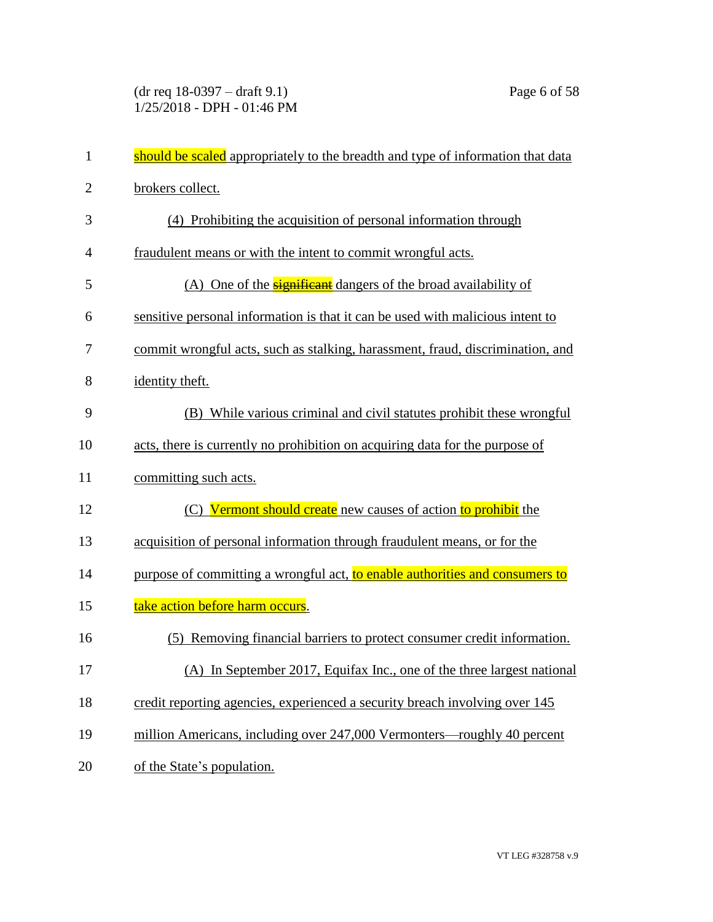(dr req 18-0397 – draft 9.1) Page 6 of 58 1/25/2018 - DPH - 01:46 PM

| $\mathbf{1}$   | should be scaled appropriately to the breadth and type of information that data |
|----------------|---------------------------------------------------------------------------------|
| $\overline{2}$ | brokers collect.                                                                |
| 3              | (4) Prohibiting the acquisition of personal information through                 |
| $\overline{4}$ | fraudulent means or with the intent to commit wrongful acts.                    |
| 5              | (A) One of the <b>significant</b> dangers of the broad availability of          |
| 6              | sensitive personal information is that it can be used with malicious intent to  |
| 7              | commit wrongful acts, such as stalking, harassment, fraud, discrimination, and  |
| 8              | identity theft.                                                                 |
| 9              | (B) While various criminal and civil statutes prohibit these wrongful           |
| 10             | acts, there is currently no prohibition on acquiring data for the purpose of    |
| 11             | committing such acts.                                                           |
| 12             | (C) Vermont should create new causes of action to prohibit the                  |
| 13             | acquisition of personal information through fraudulent means, or for the        |
| 14             | purpose of committing a wrongful act, to enable authorities and consumers to    |
| 15             | take action before harm occurs.                                                 |
| 16             | Removing financial barriers to protect consumer credit information.<br>(5)      |
| 17             | (A) In September 2017, Equifax Inc., one of the three largest national          |
| 18             | credit reporting agencies, experienced a security breach involving over 145     |
| 19             | million Americans, including over 247,000 Vermonters—roughly 40 percent         |
| 20             | of the State's population.                                                      |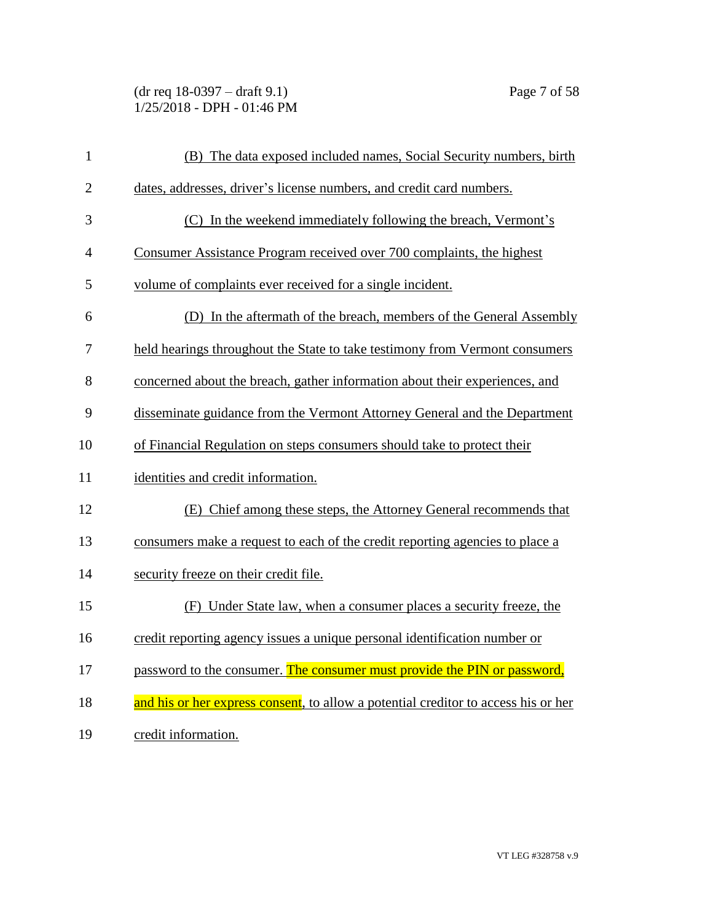(dr req 18-0397 – draft 9.1) Page 7 of 58 1/25/2018 - DPH - 01:46 PM

| $\mathbf{1}$   | (B) The data exposed included names, Social Security numbers, birth                |
|----------------|------------------------------------------------------------------------------------|
| $\overline{2}$ | dates, addresses, driver's license numbers, and credit card numbers.               |
| 3              | (C) In the weekend immediately following the breach, Vermont's                     |
| 4              | Consumer Assistance Program received over 700 complaints, the highest              |
| 5              | volume of complaints ever received for a single incident.                          |
| 6              | (D) In the aftermath of the breach, members of the General Assembly                |
| 7              | held hearings throughout the State to take testimony from Vermont consumers        |
| 8              | concerned about the breach, gather information about their experiences, and        |
| 9              | disseminate guidance from the Vermont Attorney General and the Department          |
| 10             | of Financial Regulation on steps consumers should take to protect their            |
| 11             | identities and credit information.                                                 |
| 12             | (E) Chief among these steps, the Attorney General recommends that                  |
| 13             | consumers make a request to each of the credit reporting agencies to place a       |
| 14             | security freeze on their credit file.                                              |
| 15             | (F) Under State law, when a consumer places a security freeze, the                 |
| 16             | credit reporting agency issues a unique personal identification number or          |
| 17             | password to the consumer. The consumer must provide the PIN or password,           |
| 18             | and his or her express consent, to allow a potential creditor to access his or her |
| 19             | credit information.                                                                |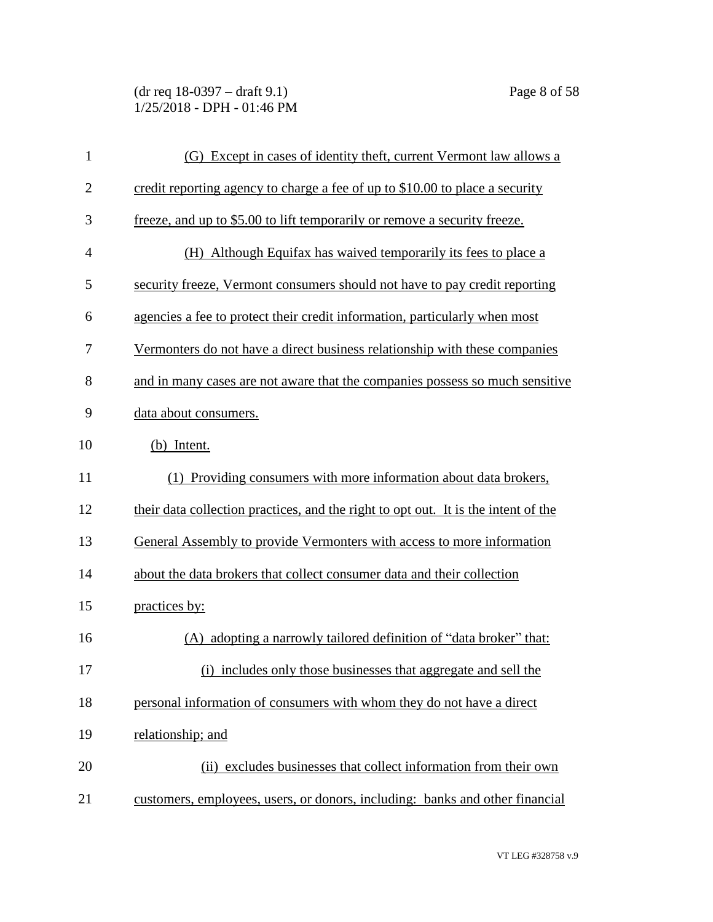(dr req 18-0397 – draft 9.1) Page 8 of 58 1/25/2018 - DPH - 01:46 PM

| $\mathbf{1}$   | (G) Except in cases of identity theft, current Vermont law allows a                |
|----------------|------------------------------------------------------------------------------------|
| $\overline{2}$ | credit reporting agency to charge a fee of up to \$10.00 to place a security       |
| 3              | freeze, and up to \$5.00 to lift temporarily or remove a security freeze.          |
| $\overline{4}$ | (H) Although Equifax has waived temporarily its fees to place a                    |
| 5              | security freeze, Vermont consumers should not have to pay credit reporting         |
| 6              | agencies a fee to protect their credit information, particularly when most         |
| 7              | Vermonters do not have a direct business relationship with these companies         |
| 8              | and in many cases are not aware that the companies possess so much sensitive       |
| 9              | data about consumers.                                                              |
| 10             | (b) Intent.                                                                        |
| 11             | (1) Providing consumers with more information about data brokers,                  |
| 12             | their data collection practices, and the right to opt out. It is the intent of the |
| 13             | General Assembly to provide Vermonters with access to more information             |
| 14             | about the data brokers that collect consumer data and their collection             |
| 15             | practices by:                                                                      |
| 16             | (A) adopting a narrowly tailored definition of "data broker" that:                 |
| 17             | (i) includes only those businesses that aggregate and sell the                     |
| 18             | personal information of consumers with whom they do not have a direct              |
| 19             | relationship; and                                                                  |
| 20             | (ii) excludes businesses that collect information from their own                   |
| 21             | customers, employees, users, or donors, including: banks and other financial       |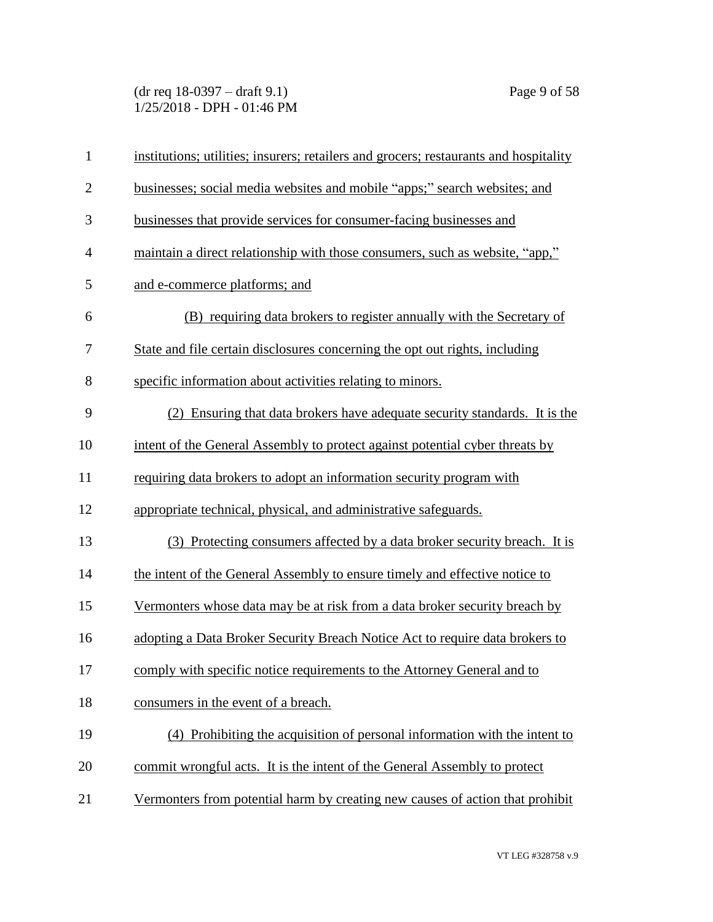(dr req 18-0397 – draft 9.1) Page 9 of 58 1/25/2018 - DPH - 01:46 PM

| $\mathbf{1}$   | institutions; utilities; insurers; retailers and grocers; restaurants and hospitality |
|----------------|---------------------------------------------------------------------------------------|
| $\mathbf{2}$   | businesses; social media websites and mobile "apps;" search websites; and             |
| 3              | businesses that provide services for consumer-facing businesses and                   |
| $\overline{4}$ | maintain a direct relationship with those consumers, such as website, "app,"          |
| 5              | and e-commerce platforms; and                                                         |
| 6              | (B) requiring data brokers to register annually with the Secretary of                 |
| 7              | State and file certain disclosures concerning the opt out rights, including           |
| 8              | specific information about activities relating to minors.                             |
| 9              | (2) Ensuring that data brokers have adequate security standards. It is the            |
| 10             | intent of the General Assembly to protect against potential cyber threats by          |
| 11             | requiring data brokers to adopt an information security program with                  |
| 12             | appropriate technical, physical, and administrative safeguards.                       |
| 13             | (3) Protecting consumers affected by a data broker security breach. It is             |
| 14             | the intent of the General Assembly to ensure timely and effective notice to           |
| 15             | Vermonters whose data may be at risk from a data broker security breach by            |
| 16             | adopting a Data Broker Security Breach Notice Act to require data brokers to          |
| 17             | comply with specific notice requirements to the Attorney General and to               |
| 18             | consumers in the event of a breach.                                                   |
| 19             | (4) Prohibiting the acquisition of personal information with the intent to            |
| 20             | commit wrongful acts. It is the intent of the General Assembly to protect             |
| 21             | Vermonters from potential harm by creating new causes of action that prohibit         |
|                |                                                                                       |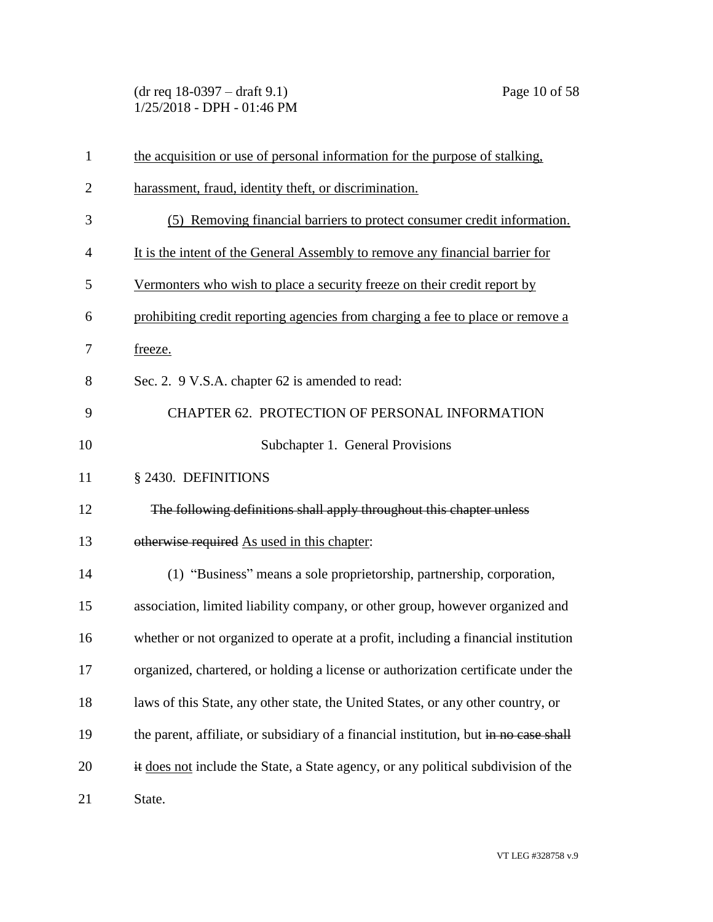(dr req 18-0397 – draft 9.1) Page 10 of 58 1/25/2018 - DPH - 01:46 PM

| $\mathbf{1}$   | the acquisition or use of personal information for the purpose of stalking.           |
|----------------|---------------------------------------------------------------------------------------|
| $\overline{2}$ | harassment, fraud, identity theft, or discrimination.                                 |
| 3              | Removing financial barriers to protect consumer credit information.<br>(5)            |
| $\overline{4}$ | It is the intent of the General Assembly to remove any financial barrier for          |
| 5              | Vermonters who wish to place a security freeze on their credit report by              |
| 6              | prohibiting credit reporting agencies from charging a fee to place or remove a        |
| 7              | freeze.                                                                               |
| 8              | Sec. 2. 9 V.S.A. chapter 62 is amended to read:                                       |
| 9              | CHAPTER 62. PROTECTION OF PERSONAL INFORMATION                                        |
| 10             | Subchapter 1. General Provisions                                                      |
| 11             | § 2430. DEFINITIONS                                                                   |
| 12             | The following definitions shall apply throughout this chapter unless                  |
| 13             | otherwise required As used in this chapter:                                           |
| 14             | (1) "Business" means a sole proprietorship, partnership, corporation,                 |
| 15             | association, limited liability company, or other group, however organized and         |
| 16             | whether or not organized to operate at a profit, including a financial institution    |
| 17             | organized, chartered, or holding a license or authorization certificate under the     |
| 18             | laws of this State, any other state, the United States, or any other country, or      |
| 19             | the parent, affiliate, or subsidiary of a financial institution, but in no case shall |
| 20             | it does not include the State, a State agency, or any political subdivision of the    |
| 21             | State.                                                                                |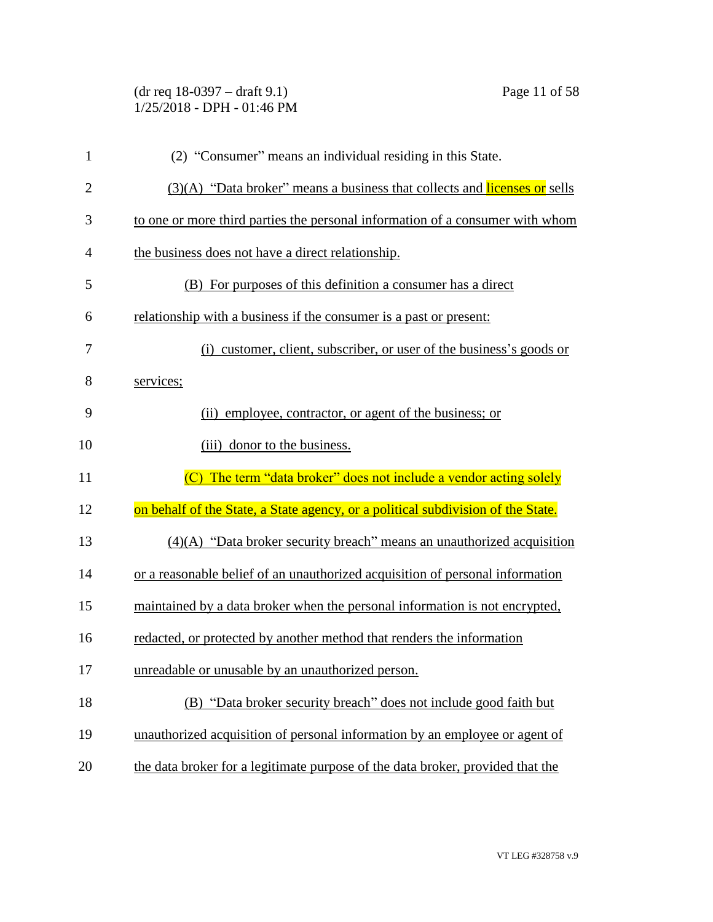| $(dr \text{ req } 18-0397 - draft 9.1)$ |  |
|-----------------------------------------|--|
| $1/25/2018$ - DPH - 01:46 PM            |  |

| $\mathbf{1}$   | (2) "Consumer" means an individual residing in this State.                       |
|----------------|----------------------------------------------------------------------------------|
| $\overline{2}$ | (3)(A) "Data broker" means a business that collects and licenses or sells        |
| 3              | to one or more third parties the personal information of a consumer with whom    |
| $\overline{4}$ | the business does not have a direct relationship.                                |
| 5              | (B) For purposes of this definition a consumer has a direct                      |
| 6              | relationship with a business if the consumer is a past or present:               |
| 7              | (i) customer, client, subscriber, or user of the business's goods or             |
| 8              | services;                                                                        |
| 9              | (ii) employee, contractor, or agent of the business; or                          |
| 10             | (iii) donor to the business.                                                     |
| 11             | (C) The term "data broker" does not include a vendor acting solely               |
|                |                                                                                  |
| 12             | on behalf of the State, a State agency, or a political subdivision of the State. |
| 13             | $(4)(A)$ "Data broker security breach" means an unauthorized acquisition         |
| 14             | or a reasonable belief of an unauthorized acquisition of personal information    |
| 15             | maintained by a data broker when the personal information is not encrypted,      |
| 16             | redacted, or protected by another method that renders the information            |
| 17             | unreadable or unusable by an unauthorized person.                                |
| 18             | (B) "Data broker security breach" does not include good faith but                |
| 19             | unauthorized acquisition of personal information by an employee or agent of      |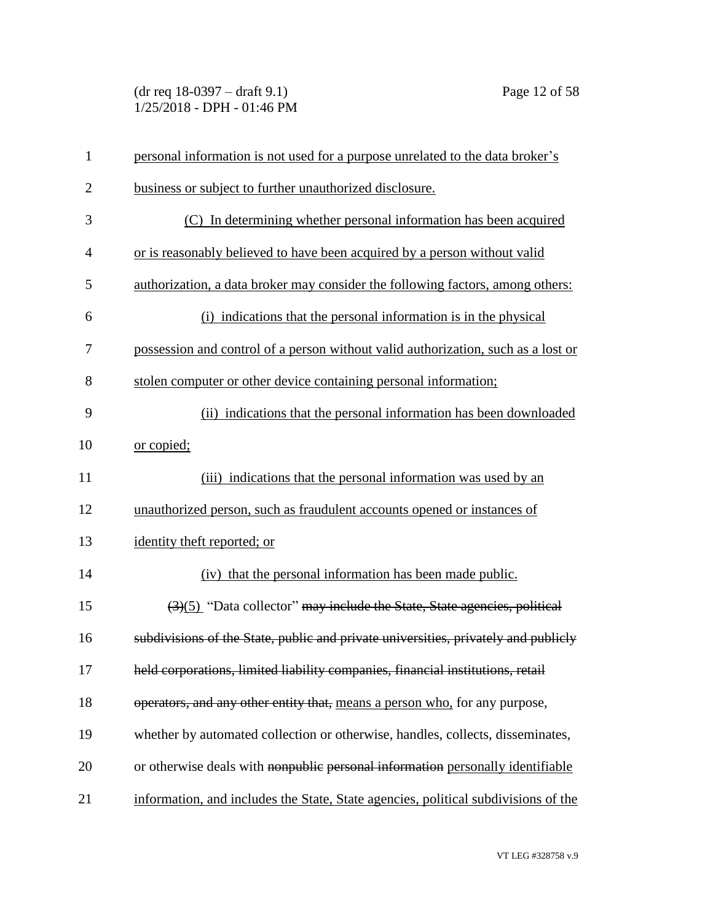(dr req 18-0397 – draft 9.1) Page 12 of 58 1/25/2018 - DPH - 01:46 PM

| $\mathbf{1}$   | personal information is not used for a purpose unrelated to the data broker's                |
|----------------|----------------------------------------------------------------------------------------------|
| $\overline{2}$ | business or subject to further unauthorized disclosure.                                      |
| 3              | (C) In determining whether personal information has been acquired                            |
| $\overline{4}$ | or is reasonably believed to have been acquired by a person without valid                    |
| 5              | authorization, a data broker may consider the following factors, among others:               |
| 6              | (i) indications that the personal information is in the physical                             |
| 7              | possession and control of a person without valid authorization, such as a lost or            |
| 8              | stolen computer or other device containing personal information;                             |
| 9              | (ii) indications that the personal information has been downloaded                           |
| 10             | or copied;                                                                                   |
| 11             | (iii) indications that the personal information was used by an                               |
| 12             | unauthorized person, such as fraudulent accounts opened or instances of                      |
| 13             | identity theft reported; or                                                                  |
| 14             | (iv) that the personal information has been made public.                                     |
| 15             | $\left(\frac{3}{5}\right)$ "Data collector" may include the State, State agencies, political |
| 16             | subdivisions of the State, public and private universities, privately and publicly           |
| 17             | held corporations, limited liability companies, financial institutions, retail               |
| 18             | operators, and any other entity that, means a person who, for any purpose,                   |
| 19             | whether by automated collection or otherwise, handles, collects, disseminates,               |
| 20             | or otherwise deals with nonpublic personal information personally identifiable               |
| 21             | information, and includes the State, State agencies, political subdivisions of the           |

VT LEG #328758 v.9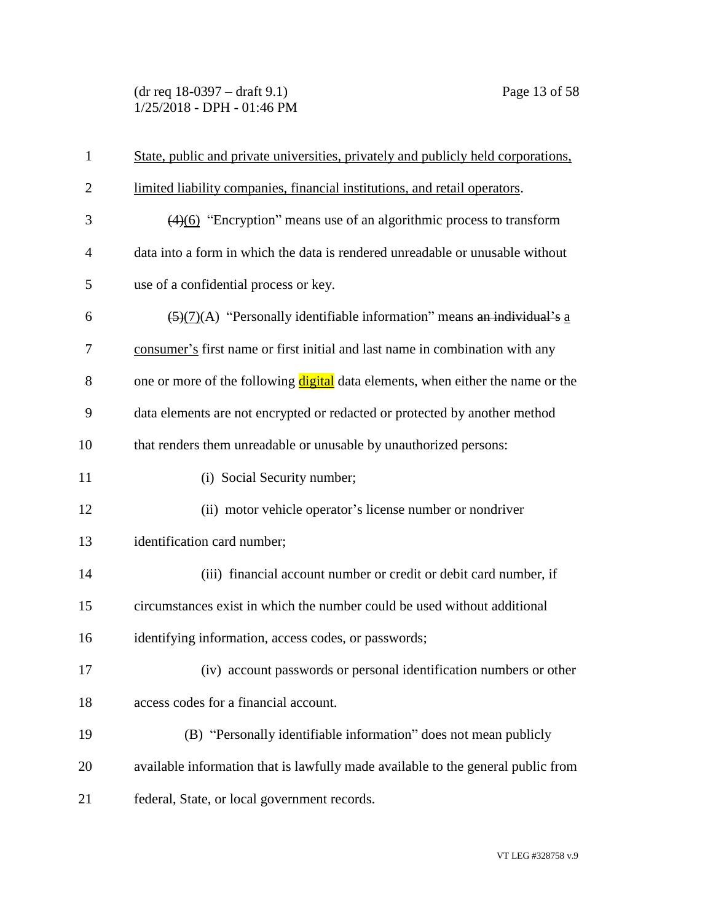(dr req 18-0397 – draft 9.1) Page 13 of 58 1/25/2018 - DPH - 01:46 PM

| $\mathbf{1}$   | State, public and private universities, privately and publicly held corporations,    |
|----------------|--------------------------------------------------------------------------------------|
| $\overline{2}$ | limited liability companies, financial institutions, and retail operators.           |
| 3              | $(4)(6)$ "Encryption" means use of an algorithmic process to transform               |
| $\overline{4}$ | data into a form in which the data is rendered unreadable or unusable without        |
| 5              | use of a confidential process or key.                                                |
| 6              | $\frac{5}{(2)(7)}$ (A) "Personally identifiable information" means an individual's a |
| 7              | consumer's first name or first initial and last name in combination with any         |
| 8              | one or more of the following digital data elements, when either the name or the      |
| 9              | data elements are not encrypted or redacted or protected by another method           |
| 10             | that renders them unreadable or unusable by unauthorized persons:                    |
| 11             | (i) Social Security number;                                                          |
| 12             | (ii) motor vehicle operator's license number or nondriver                            |
| 13             | identification card number;                                                          |
| 14             | (iii) financial account number or credit or debit card number, if                    |
| 15             | circumstances exist in which the number could be used without additional             |
| 16             | identifying information, access codes, or passwords;                                 |
| 17             | (iv) account passwords or personal identification numbers or other                   |
| 18             | access codes for a financial account.                                                |
| 19             | (B) "Personally identifiable information" does not mean publicly                     |
| 20             | available information that is lawfully made available to the general public from     |
| 21             | federal, State, or local government records.                                         |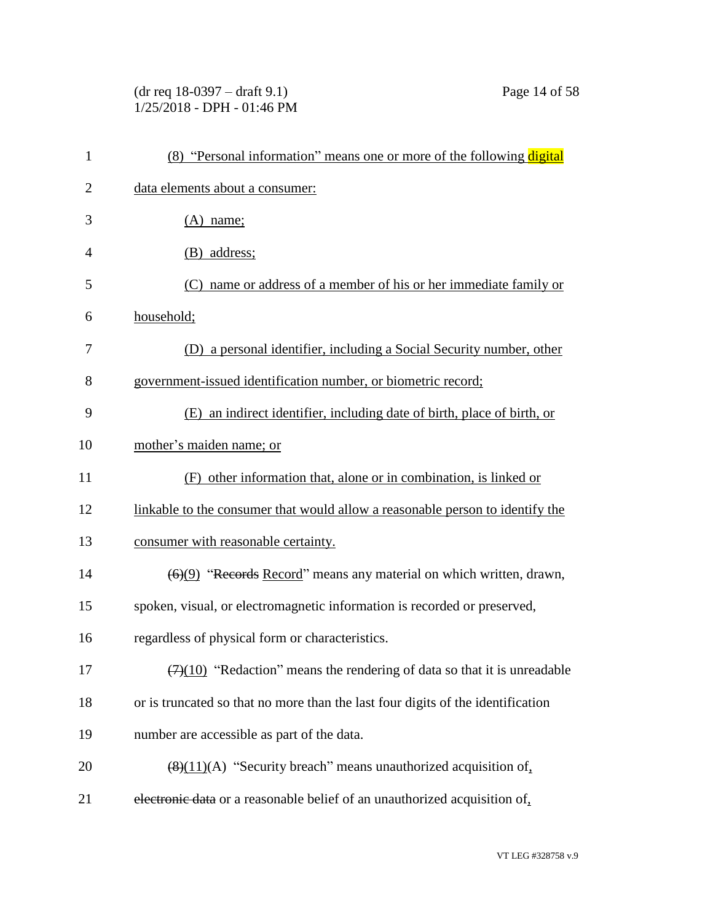# (dr req 18-0397 – draft 9.1) Page 14 of 58 1/25/2018 - DPH - 01:46 PM

| $\mathbf{1}$   | (8) "Personal information" means one or more of the following digital                        |
|----------------|----------------------------------------------------------------------------------------------|
| $\overline{2}$ | data elements about a consumer:                                                              |
| 3              | $(A)$ name;                                                                                  |
| $\overline{4}$ | (B) address;                                                                                 |
| 5              | name or address of a member of his or her immediate family or<br>(C)                         |
| 6              | household;                                                                                   |
| 7              | (D) a personal identifier, including a Social Security number, other                         |
| 8              | government-issued identification number, or biometric record;                                |
| 9              | (E) an indirect identifier, including date of birth, place of birth, or                      |
| 10             | mother's maiden name; or                                                                     |
| 11             | (F) other information that, alone or in combination, is linked or                            |
| 12             | linkable to the consumer that would allow a reasonable person to identify the                |
| 13             | consumer with reasonable certainty.                                                          |
| 14             | $\left(\frac{6}{9}\right)$ "Records Record" means any material on which written, drawn,      |
| 15             | spoken, visual, or electromagnetic information is recorded or preserved,                     |
| 16             | regardless of physical form or characteristics.                                              |
| 17             | $\left(\frac{7}{10}\right)$ "Redaction" means the rendering of data so that it is unreadable |
| 18             | or is truncated so that no more than the last four digits of the identification              |
| 19             | number are accessible as part of the data.                                                   |
| 20             | $\left(\frac{8}{11}\right)$ (A) "Security breach" means unauthorized acquisition of,         |
| 21             | electronic data or a reasonable belief of an unauthorized acquisition of,                    |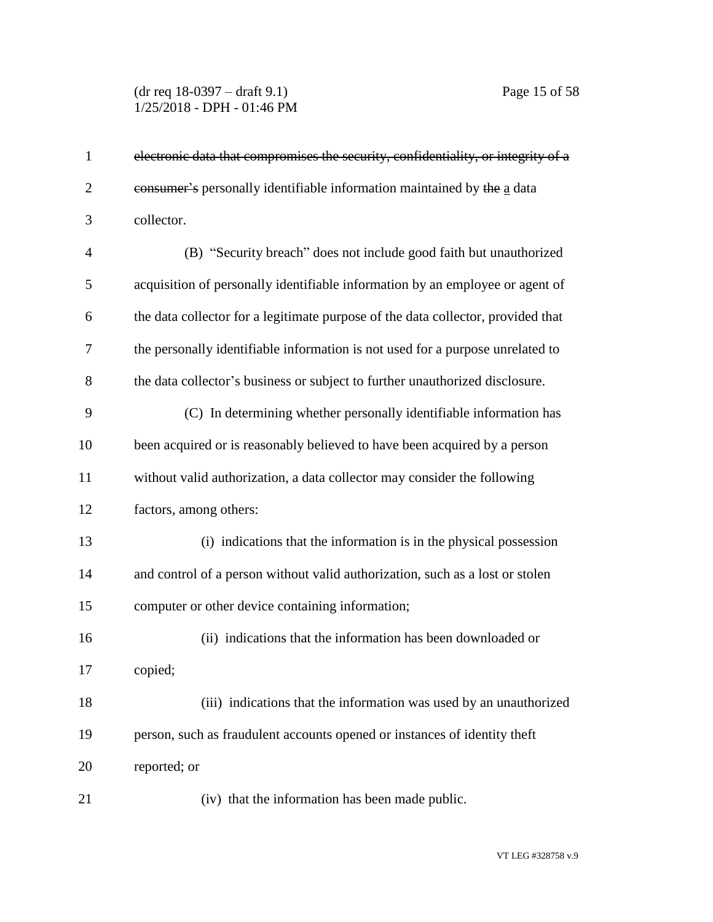## (dr req 18-0397 – draft 9.1) Page 15 of 58 1/25/2018 - DPH - 01:46 PM

| $\mathbf{1}$   | electronic data that compromises the security, confidentiality, or integrity of a |
|----------------|-----------------------------------------------------------------------------------|
| $\overline{2}$ | eonsumer's personally identifiable information maintained by the a data           |
| 3              | collector.                                                                        |
| $\overline{4}$ | (B) "Security breach" does not include good faith but unauthorized                |
| 5              | acquisition of personally identifiable information by an employee or agent of     |
| 6              | the data collector for a legitimate purpose of the data collector, provided that  |
| 7              | the personally identifiable information is not used for a purpose unrelated to    |
| 8              | the data collector's business or subject to further unauthorized disclosure.      |
| 9              | (C) In determining whether personally identifiable information has                |
| 10             | been acquired or is reasonably believed to have been acquired by a person         |
| 11             | without valid authorization, a data collector may consider the following          |
| 12             | factors, among others:                                                            |
| 13             | (i) indications that the information is in the physical possession                |
| 14             | and control of a person without valid authorization, such as a lost or stolen     |
| 15             | computer or other device containing information;                                  |
| 16             | (ii) indications that the information has been downloaded or                      |
| 17             | copied;                                                                           |
| 18             | (iii) indications that the information was used by an unauthorized                |
| 19             | person, such as fraudulent accounts opened or instances of identity theft         |
| 20             | reported; or                                                                      |
| 21             | (iv) that the information has been made public.                                   |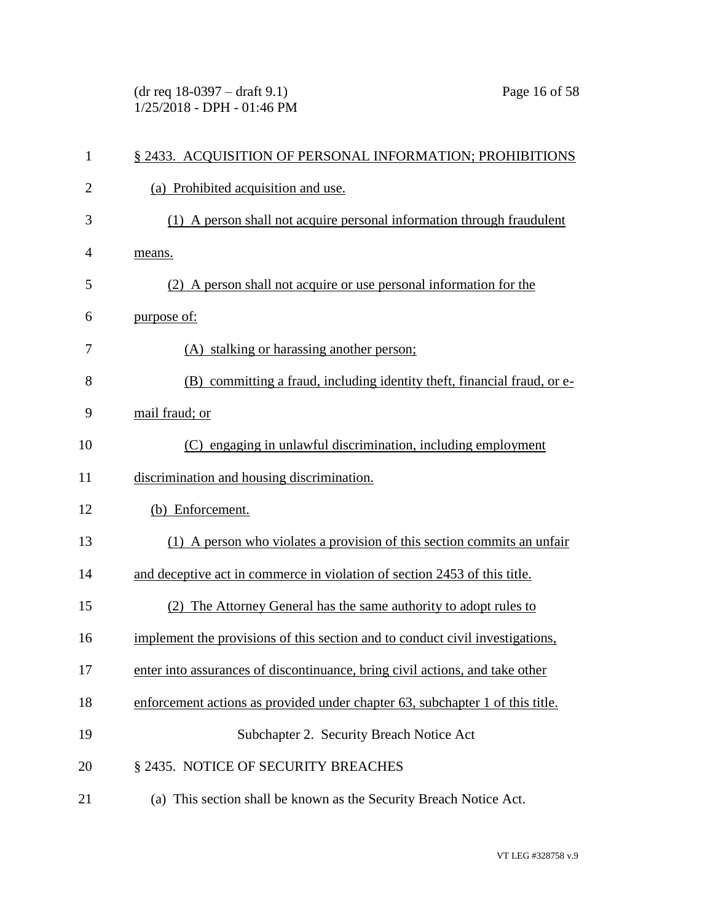(dr req 18-0397 – draft 9.1) Page 16 of 58 1/25/2018 - DPH - 01:46 PM

| $\mathbf{1}$   | § 2433. ACQUISITION OF PERSONAL INFORMATION; PROHIBITIONS                     |
|----------------|-------------------------------------------------------------------------------|
| $\overline{2}$ | (a) Prohibited acquisition and use.                                           |
| 3              | A person shall not acquire personal information through fraudulent<br>(1)     |
| $\overline{4}$ | means.                                                                        |
| 5              | (2) A person shall not acquire or use personal information for the            |
| 6              | purpose of:                                                                   |
| 7              | (A) stalking or harassing another person;                                     |
| 8              | (B) committing a fraud, including identity theft, financial fraud, or e-      |
| 9              | mail fraud; or                                                                |
| 10             | (C) engaging in unlawful discrimination, including employment                 |
| 11             | discrimination and housing discrimination.                                    |
| 12             | (b) Enforcement.                                                              |
| 13             | (1) A person who violates a provision of this section commits an unfair       |
| 14             | and deceptive act in commerce in violation of section 2453 of this title.     |
| 15             | (2) The Attorney General has the same authority to adopt rules to             |
| 16             | implement the provisions of this section and to conduct civil investigations, |
| 17             | enter into assurances of discontinuance, bring civil actions, and take other  |
| 18             | enforcement actions as provided under chapter 63, subchapter 1 of this title. |
| 19             | Subchapter 2. Security Breach Notice Act                                      |
| 20             | § 2435. NOTICE OF SECURITY BREACHES                                           |
| 21             | (a) This section shall be known as the Security Breach Notice Act.            |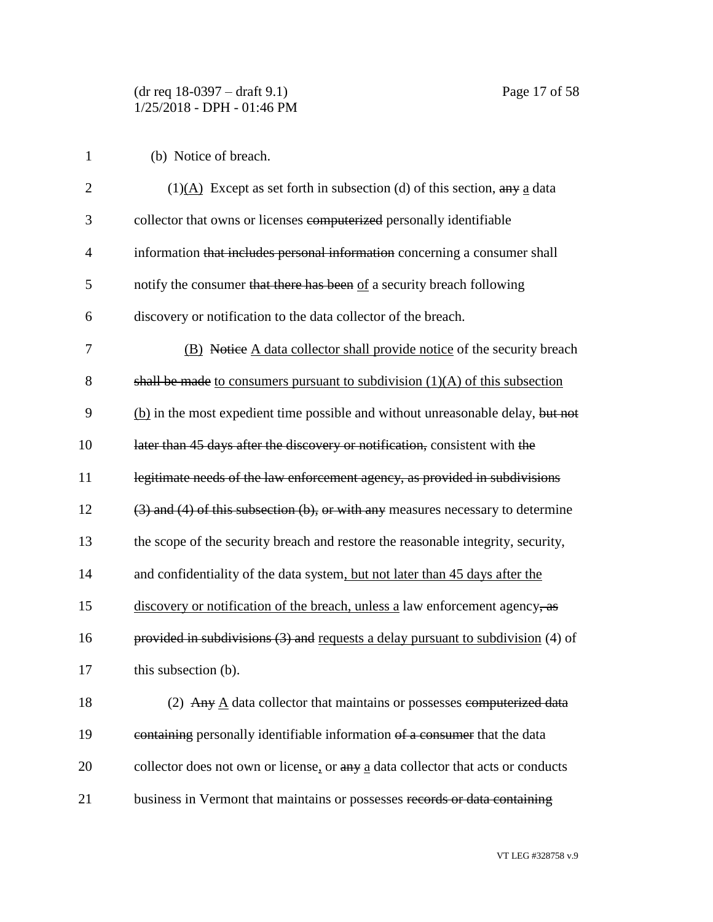(b) Notice of breach.

| $\overline{2}$ | $(1)(\underline{A})$ Except as set forth in subsection (d) of this section, any a data |
|----------------|----------------------------------------------------------------------------------------|
| 3              | collector that owns or licenses computerized personally identifiable                   |
| $\overline{4}$ | information that includes personal information concerning a consumer shall             |
| 5              | notify the consumer that there has been of a security breach following                 |
| 6              | discovery or notification to the data collector of the breach.                         |
| 7              | (B) Notice A data collector shall provide notice of the security breach                |
| 8              | shall be made to consumers pursuant to subdivision $(1)(A)$ of this subsection         |
| 9              | (b) in the most expedient time possible and without unreasonable delay, but not        |
| 10             | later than 45 days after the discovery or notification, consistent with the            |
| 11             | legitimate needs of the law enforcement agency, as provided in subdivisions            |
| 12             | $(3)$ and $(4)$ of this subsection $(b)$ , or with any measures necessary to determine |
| 13             | the scope of the security breach and restore the reasonable integrity, security,       |
| 14             | and confidentiality of the data system, but not later than 45 days after the           |
| 15             | discovery or notification of the breach, unless a law enforcement agency, as           |
| 16             | provided in subdivisions $(3)$ and requests a delay pursuant to subdivision $(4)$ of   |
| 17             | this subsection (b).                                                                   |
| 18             | (2) Any $\underline{A}$ data collector that maintains or possesses computerized data   |
| 19             | containing personally identifiable information of a consumer that the data             |
| 20             | collector does not own or license, or any a data collector that acts or conducts       |
| 21             | business in Vermont that maintains or possesses records or data containing             |

VT LEG #328758 v.9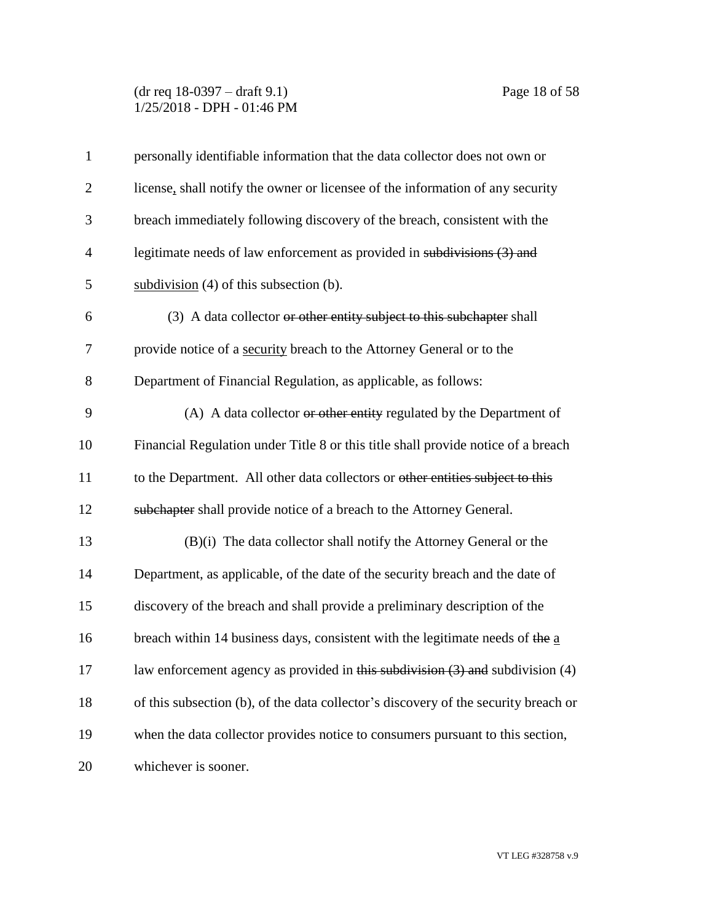## (dr req 18-0397 – draft 9.1) Page 18 of 58 1/25/2018 - DPH - 01:46 PM

| $\mathbf{1}$   | personally identifiable information that the data collector does not own or                 |
|----------------|---------------------------------------------------------------------------------------------|
| $\overline{2}$ | license, shall notify the owner or licensee of the information of any security              |
| 3              | breach immediately following discovery of the breach, consistent with the                   |
| $\overline{4}$ | legitimate needs of law enforcement as provided in subdivisions (3) and                     |
| 5              | subdivision $(4)$ of this subsection $(b)$ .                                                |
| 6              | (3) A data collector or other entity subject to this subchapter shall                       |
| 7              | provide notice of a security breach to the Attorney General or to the                       |
| 8              | Department of Financial Regulation, as applicable, as follows:                              |
| 9              | (A) A data collector or other entity regulated by the Department of                         |
| 10             | Financial Regulation under Title 8 or this title shall provide notice of a breach           |
| 11             | to the Department. All other data collectors or other entities subject to this              |
| 12             | subchapter shall provide notice of a breach to the Attorney General.                        |
| 13             | (B)(i) The data collector shall notify the Attorney General or the                          |
| 14             | Department, as applicable, of the date of the security breach and the date of               |
| 15             | discovery of the breach and shall provide a preliminary description of the                  |
| 16             | breach within 14 business days, consistent with the legitimate needs of the $\underline{a}$ |
| 17             | law enforcement agency as provided in this subdivision $(3)$ and subdivision $(4)$          |
| 18             | of this subsection (b), of the data collector's discovery of the security breach or         |
| 19             | when the data collector provides notice to consumers pursuant to this section,              |
| 20             | whichever is sooner.                                                                        |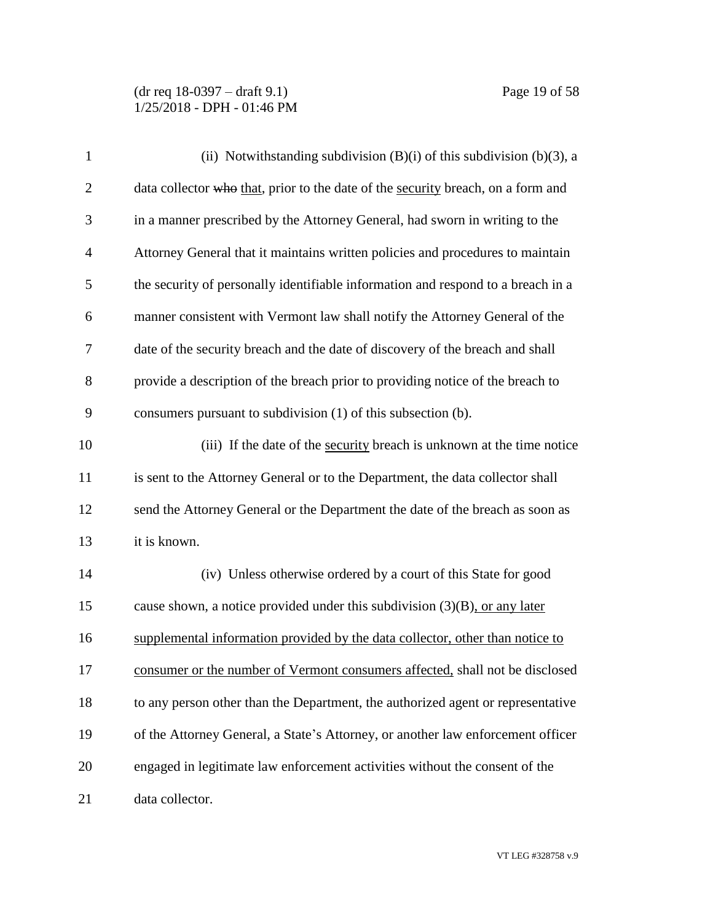| $\mathbf{1}$   | (ii) Notwithstanding subdivision $(B)(i)$ of this subdivision $(b)(3)$ , a       |
|----------------|----------------------------------------------------------------------------------|
| $\overline{2}$ | data collector who that, prior to the date of the security breach, on a form and |
| 3              | in a manner prescribed by the Attorney General, had sworn in writing to the      |
| $\overline{4}$ | Attorney General that it maintains written policies and procedures to maintain   |
| 5              | the security of personally identifiable information and respond to a breach in a |
| 6              | manner consistent with Vermont law shall notify the Attorney General of the      |
| 7              | date of the security breach and the date of discovery of the breach and shall    |
| 8              | provide a description of the breach prior to providing notice of the breach to   |
| 9              | consumers pursuant to subdivision (1) of this subsection (b).                    |
| 10             | (iii) If the date of the security breach is unknown at the time notice           |
| 11             | is sent to the Attorney General or to the Department, the data collector shall   |
| 12             | send the Attorney General or the Department the date of the breach as soon as    |
| 13             | it is known.                                                                     |
| 14             | (iv) Unless otherwise ordered by a court of this State for good                  |
| 15             | cause shown, a notice provided under this subdivision $(3)(B)$ , or any later    |
| 16             | supplemental information provided by the data collector, other than notice to    |
| 17             | consumer or the number of Vermont consumers affected, shall not be disclosed     |
| 18             | to any person other than the Department, the authorized agent or representative  |
| 19             | of the Attorney General, a State's Attorney, or another law enforcement officer  |
| 20             | engaged in legitimate law enforcement activities without the consent of the      |
| 21             | data collector.                                                                  |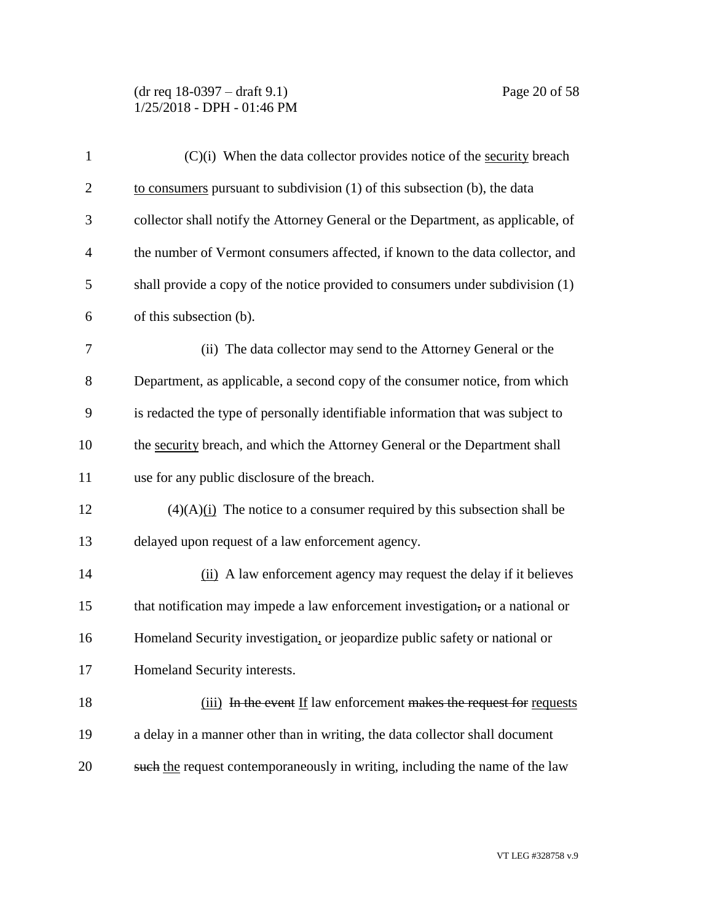(dr req 18-0397 – draft 9.1) Page 20 of 58 1/25/2018 - DPH - 01:46 PM

| $\mathbf{1}$   | $(C)(i)$ When the data collector provides notice of the security breach          |
|----------------|----------------------------------------------------------------------------------|
| $\overline{2}$ | to consumers pursuant to subdivision $(1)$ of this subsection $(b)$ , the data   |
| 3              | collector shall notify the Attorney General or the Department, as applicable, of |
| $\overline{4}$ | the number of Vermont consumers affected, if known to the data collector, and    |
| 5              | shall provide a copy of the notice provided to consumers under subdivision (1)   |
| 6              | of this subsection (b).                                                          |
| 7              | (ii) The data collector may send to the Attorney General or the                  |
| 8              | Department, as applicable, a second copy of the consumer notice, from which      |
| 9              | is redacted the type of personally identifiable information that was subject to  |
| 10             | the security breach, and which the Attorney General or the Department shall      |
| 11             | use for any public disclosure of the breach.                                     |
| 12             | $(4)(A)$ (i) The notice to a consumer required by this subsection shall be       |
| 13             | delayed upon request of a law enforcement agency.                                |
| 14             | (ii) A law enforcement agency may request the delay if it believes               |
| 15             | that notification may impede a law enforcement investigation, or a national or   |
| 16             | Homeland Security investigation, or jeopardize public safety or national or      |
| 17             | Homeland Security interests.                                                     |
| 18             | (iii) In the event If law enforcement makes the request for requests             |
| 19             | a delay in a manner other than in writing, the data collector shall document     |
| 20             | such the request contemporaneously in writing, including the name of the law     |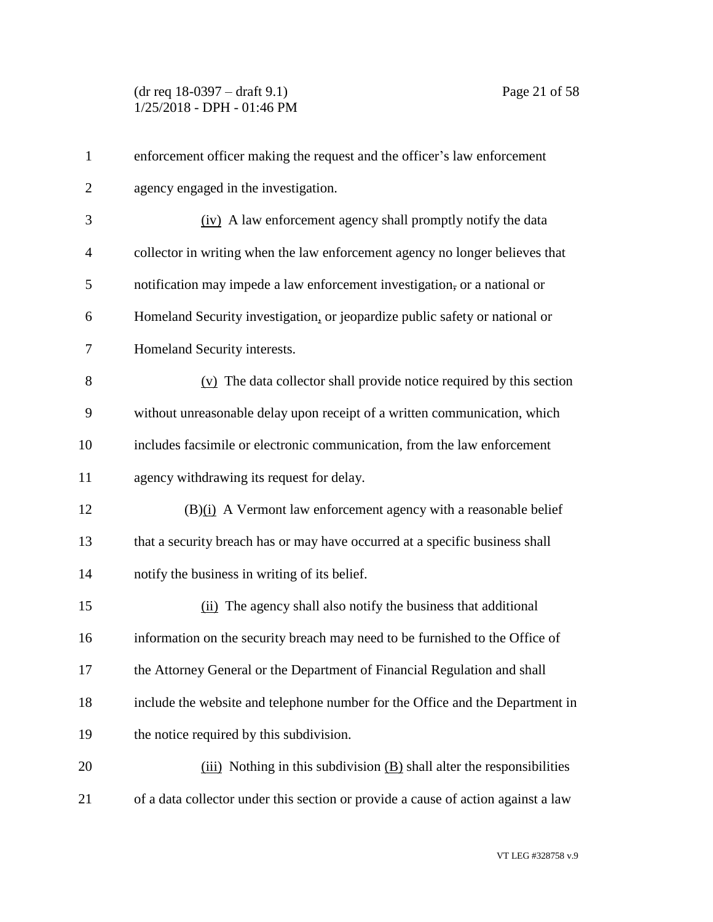| $\mathbf{1}$   | enforcement officer making the request and the officer's law enforcement          |
|----------------|-----------------------------------------------------------------------------------|
| $\overline{2}$ | agency engaged in the investigation.                                              |
| 3              | (iv) A law enforcement agency shall promptly notify the data                      |
| $\overline{4}$ | collector in writing when the law enforcement agency no longer believes that      |
| 5              | notification may impede a law enforcement investigation, or a national or         |
| 6              | Homeland Security investigation, or jeopardize public safety or national or       |
| 7              | Homeland Security interests.                                                      |
| 8              | $(v)$ The data collector shall provide notice required by this section            |
| 9              | without unreasonable delay upon receipt of a written communication, which         |
| 10             | includes facsimile or electronic communication, from the law enforcement          |
| 11             | agency withdrawing its request for delay.                                         |
| 12             | $(B)(i)$ A Vermont law enforcement agency with a reasonable belief                |
| 13             | that a security breach has or may have occurred at a specific business shall      |
| 14             | notify the business in writing of its belief.                                     |
| 15             | (ii) The agency shall also notify the business that additional                    |
| 16             | information on the security breach may need to be furnished to the Office of      |
| 17             | the Attorney General or the Department of Financial Regulation and shall          |
| 18             | include the website and telephone number for the Office and the Department in     |
| 19             | the notice required by this subdivision.                                          |
| 20             | $(iii)$ Nothing in this subdivision $(B)$ shall alter the responsibilities        |
| 21             | of a data collector under this section or provide a cause of action against a law |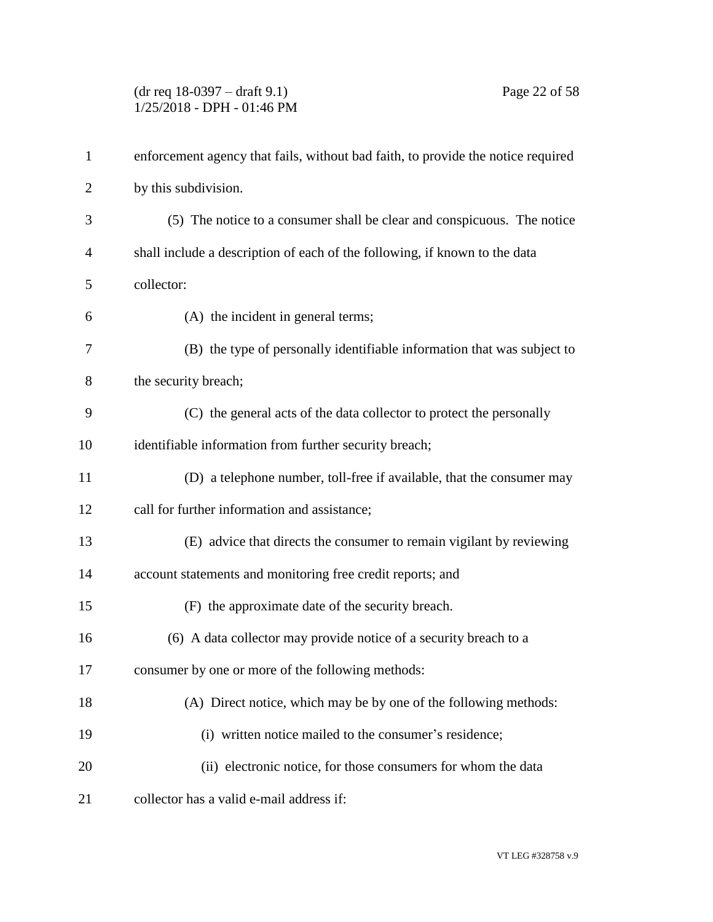(dr req 18-0397 – draft 9.1) Page 22 of 58 1/25/2018 - DPH - 01:46 PM

| $\mathbf{1}$   | enforcement agency that fails, without bad faith, to provide the notice required |
|----------------|----------------------------------------------------------------------------------|
| $\overline{2}$ | by this subdivision.                                                             |
| 3              | (5) The notice to a consumer shall be clear and conspicuous. The notice          |
| $\overline{4}$ | shall include a description of each of the following, if known to the data       |
| 5              | collector:                                                                       |
| 6              | (A) the incident in general terms;                                               |
| 7              | (B) the type of personally identifiable information that was subject to          |
| 8              | the security breach;                                                             |
| 9              | (C) the general acts of the data collector to protect the personally             |
| 10             | identifiable information from further security breach;                           |
| 11             | (D) a telephone number, toll-free if available, that the consumer may            |
| 12             | call for further information and assistance;                                     |
| 13             | (E) advice that directs the consumer to remain vigilant by reviewing             |
| 14             | account statements and monitoring free credit reports; and                       |
| 15             | (F) the approximate date of the security breach.                                 |
| 16             | (6) A data collector may provide notice of a security breach to a                |
| 17             | consumer by one or more of the following methods:                                |
| 18             | (A) Direct notice, which may be by one of the following methods:                 |
| 19             | (i) written notice mailed to the consumer's residence;                           |
| 20             | (ii) electronic notice, for those consumers for whom the data                    |
| 21             | collector has a valid e-mail address if:                                         |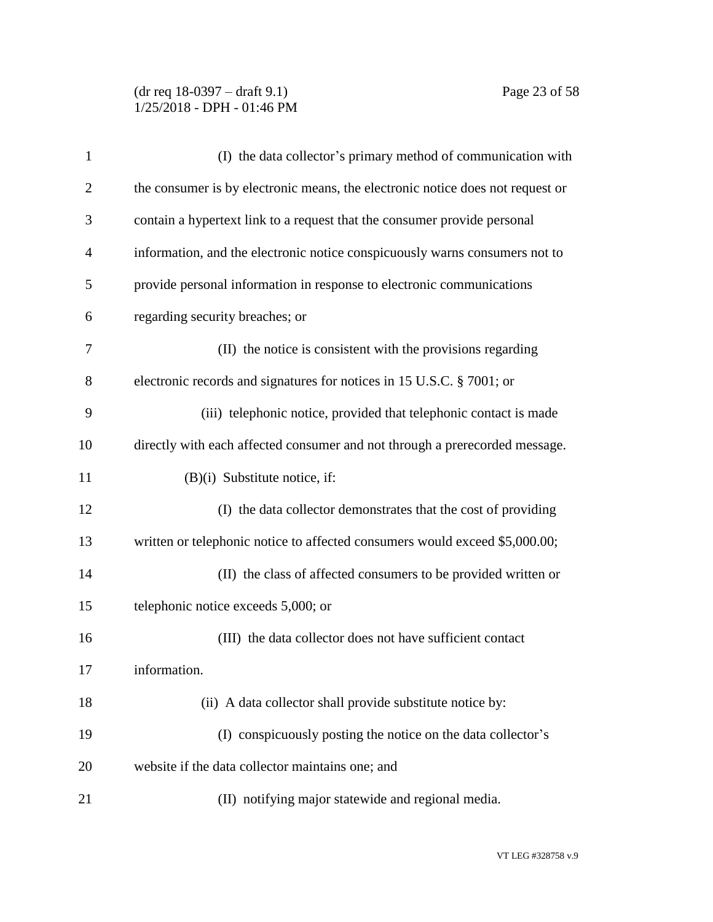## (dr req 18-0397 – draft 9.1) Page 23 of 58 1/25/2018 - DPH - 01:46 PM

| 1              | (I) the data collector's primary method of communication with                  |
|----------------|--------------------------------------------------------------------------------|
| $\overline{2}$ | the consumer is by electronic means, the electronic notice does not request or |
| 3              | contain a hypertext link to a request that the consumer provide personal       |
| 4              | information, and the electronic notice conspicuously warns consumers not to    |
| 5              | provide personal information in response to electronic communications          |
| 6              | regarding security breaches; or                                                |
| 7              | (II) the notice is consistent with the provisions regarding                    |
| 8              | electronic records and signatures for notices in 15 U.S.C. § 7001; or          |
| 9              | (iii) telephonic notice, provided that telephonic contact is made              |
| 10             | directly with each affected consumer and not through a prerecorded message.    |
| 11             | $(B)(i)$ Substitute notice, if:                                                |
| 12             | (I) the data collector demonstrates that the cost of providing                 |
| 13             | written or telephonic notice to affected consumers would exceed \$5,000.00;    |
| 14             | (II) the class of affected consumers to be provided written or                 |
| 15             | telephonic notice exceeds 5,000; or                                            |
| 16             | (III) the data collector does not have sufficient contact                      |
| 17             | information.                                                                   |
| 18             | (ii) A data collector shall provide substitute notice by:                      |
| 19             | (I) conspicuously posting the notice on the data collector's                   |
| 20             | website if the data collector maintains one; and                               |
| 21             | (II) notifying major statewide and regional media.                             |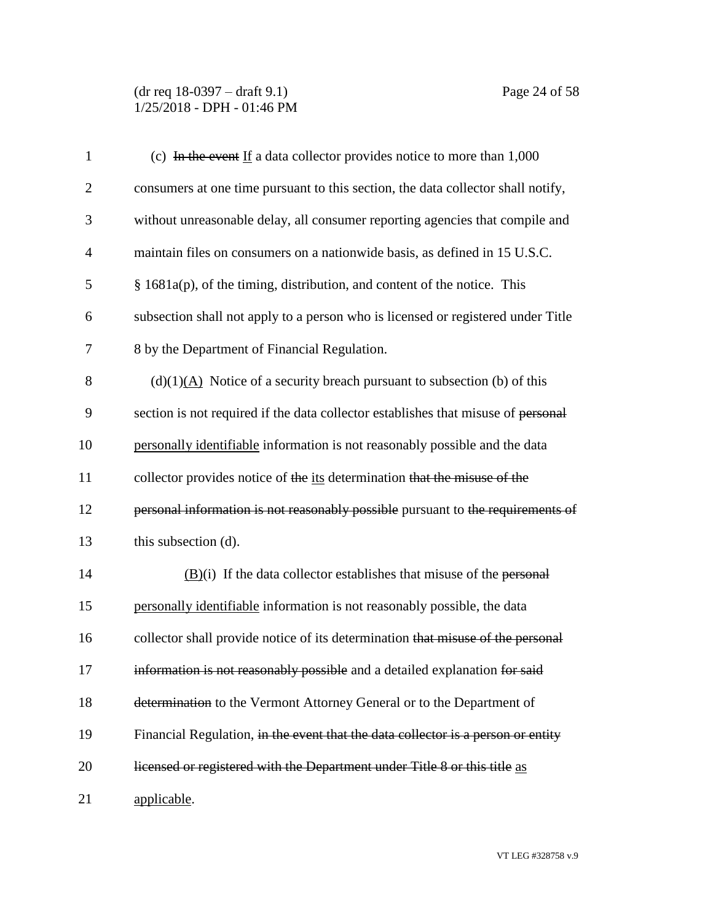(dr req 18-0397 – draft 9.1) Page 24 of 58 1/25/2018 - DPH - 01:46 PM

| $\mathbf{1}$   | (c) In the event If a data collector provides notice to more than $1,000$           |
|----------------|-------------------------------------------------------------------------------------|
| $\overline{2}$ | consumers at one time pursuant to this section, the data collector shall notify,    |
| 3              | without unreasonable delay, all consumer reporting agencies that compile and        |
| $\overline{4}$ | maintain files on consumers on a nationwide basis, as defined in 15 U.S.C.          |
| 5              | $§$ 1681a(p), of the timing, distribution, and content of the notice. This          |
| 6              | subsection shall not apply to a person who is licensed or registered under Title    |
| 7              | 8 by the Department of Financial Regulation.                                        |
| 8              | $(d)(1)(A)$ Notice of a security breach pursuant to subsection (b) of this          |
| 9              | section is not required if the data collector establishes that misuse of personal   |
| 10             | personally identifiable information is not reasonably possible and the data         |
| 11             | collector provides notice of the its determination that the misuse of the           |
| 12             | personal information is not reasonably possible pursuant to the requirements of     |
| 13             | this subsection (d).                                                                |
| 14             | $\underline{(B)}$ (i) If the data collector establishes that misuse of the personal |
| 15             | personally identifiable information is not reasonably possible, the data            |
| 16             | collector shall provide notice of its determination that misuse of the personal     |
| 17             | information is not reasonably possible and a detailed explanation for said          |
| 18             | determination to the Vermont Attorney General or to the Department of               |
| 19             | Financial Regulation, in the event that the data collector is a person or entity    |
| 20             | licensed or registered with the Department under Title 8 or this title as           |
| 21             | applicable.                                                                         |

VT LEG #328758 v.9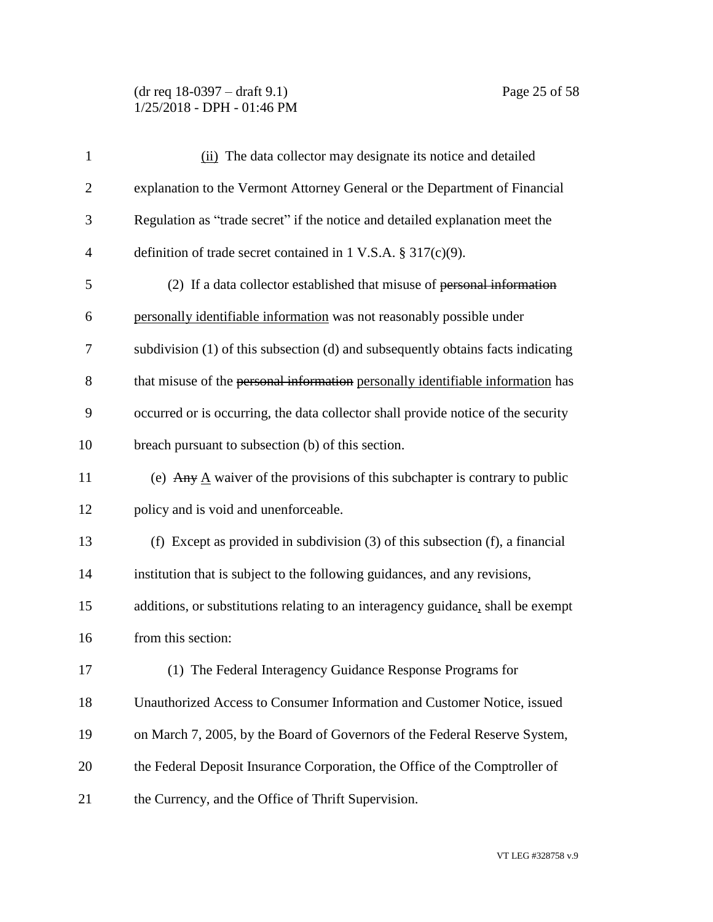(dr req 18-0397 – draft 9.1) Page 25 of 58 1/25/2018 - DPH - 01:46 PM

| $\mathbf{1}$   | (ii) The data collector may designate its notice and detailed                             |
|----------------|-------------------------------------------------------------------------------------------|
| $\overline{2}$ | explanation to the Vermont Attorney General or the Department of Financial                |
| 3              | Regulation as "trade secret" if the notice and detailed explanation meet the              |
| $\overline{4}$ | definition of trade secret contained in 1 V.S.A. $\S 317(c)(9)$ .                         |
| 5              | (2) If a data collector established that misuse of personal information                   |
| 6              | personally identifiable information was not reasonably possible under                     |
| 7              | subdivision (1) of this subsection (d) and subsequently obtains facts indicating          |
| 8              | that misuse of the personal information personally identifiable information has           |
| 9              | occurred or is occurring, the data collector shall provide notice of the security         |
| 10             | breach pursuant to subsection (b) of this section.                                        |
| 11             | (e) Any $\underline{A}$ waiver of the provisions of this subchapter is contrary to public |
| 12             | policy and is void and unenforceable.                                                     |
| 13             | (f) Except as provided in subdivision $(3)$ of this subsection $(f)$ , a financial        |
| 14             | institution that is subject to the following guidances, and any revisions,                |
| 15             | additions, or substitutions relating to an interagency guidance, shall be exempt          |
| 16             | from this section:                                                                        |
| 17             | (1) The Federal Interagency Guidance Response Programs for                                |
| 18             | Unauthorized Access to Consumer Information and Customer Notice, issued                   |
| 19             | on March 7, 2005, by the Board of Governors of the Federal Reserve System,                |
| 20             | the Federal Deposit Insurance Corporation, the Office of the Comptroller of               |
| 21             | the Currency, and the Office of Thrift Supervision.                                       |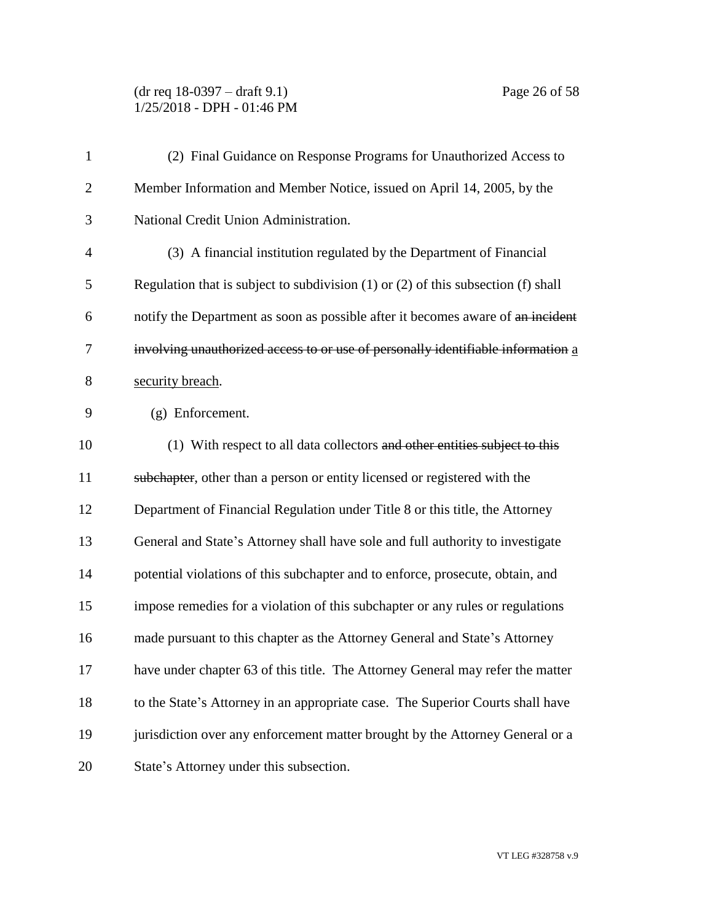(dr req 18-0397 – draft 9.1) Page 26 of 58 1/25/2018 - DPH - 01:46 PM

| $\mathbf{1}$   | (2) Final Guidance on Response Programs for Unauthorized Access to                      |
|----------------|-----------------------------------------------------------------------------------------|
| $\overline{2}$ | Member Information and Member Notice, issued on April 14, 2005, by the                  |
| 3              | National Credit Union Administration.                                                   |
| $\overline{4}$ | (3) A financial institution regulated by the Department of Financial                    |
| 5              | Regulation that is subject to subdivision $(1)$ or $(2)$ of this subsection $(f)$ shall |
| 6              | notify the Department as soon as possible after it becomes aware of an incident         |
| 7              | involving unauthorized access to or use of personally identifiable information a        |
| 8              | security breach.                                                                        |
| 9              | (g) Enforcement.                                                                        |
| 10             | (1) With respect to all data collectors and other entities subject to this              |
| 11             | subchapter, other than a person or entity licensed or registered with the               |
| 12             | Department of Financial Regulation under Title 8 or this title, the Attorney            |
| 13             | General and State's Attorney shall have sole and full authority to investigate          |
| 14             | potential violations of this subchapter and to enforce, prosecute, obtain, and          |
| 15             | impose remedies for a violation of this subchapter or any rules or regulations          |
| 16             | made pursuant to this chapter as the Attorney General and State's Attorney              |
| 17             | have under chapter 63 of this title. The Attorney General may refer the matter          |
| 18             | to the State's Attorney in an appropriate case. The Superior Courts shall have          |
| 19             | jurisdiction over any enforcement matter brought by the Attorney General or a           |
| 20             | State's Attorney under this subsection.                                                 |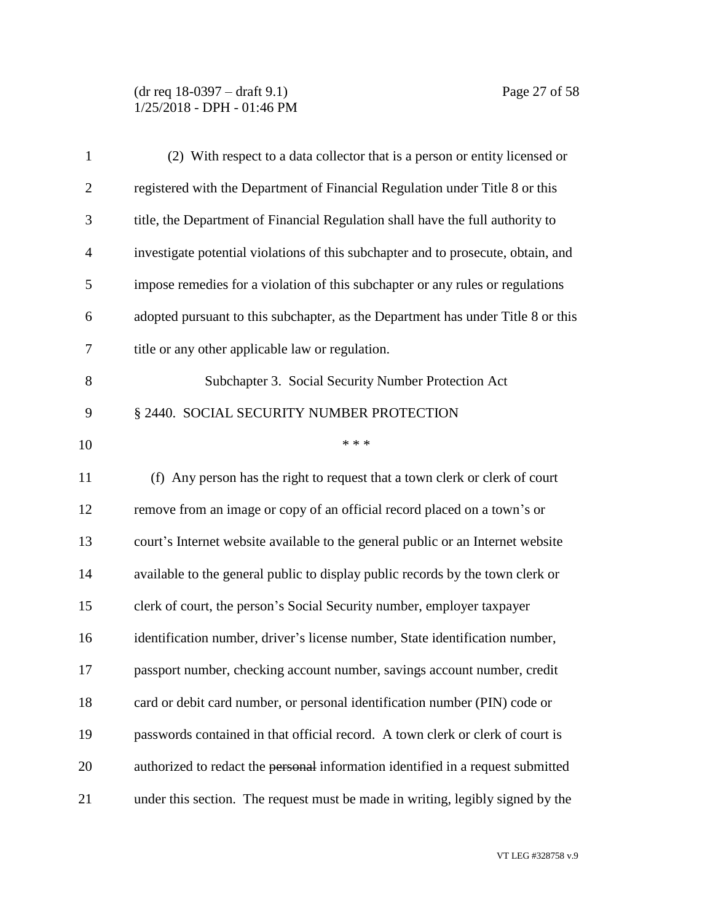## (dr req 18-0397 – draft 9.1) Page 27 of 58 1/25/2018 - DPH - 01:46 PM

| $\mathbf{1}$   | (2) With respect to a data collector that is a person or entity licensed or       |
|----------------|-----------------------------------------------------------------------------------|
| $\mathbf{2}$   | registered with the Department of Financial Regulation under Title 8 or this      |
| 3              | title, the Department of Financial Regulation shall have the full authority to    |
| $\overline{4}$ | investigate potential violations of this subchapter and to prosecute, obtain, and |
| 5              | impose remedies for a violation of this subchapter or any rules or regulations    |
| 6              | adopted pursuant to this subchapter, as the Department has under Title 8 or this  |
| 7              | title or any other applicable law or regulation.                                  |
| 8              | Subchapter 3. Social Security Number Protection Act                               |
| 9              | § 2440. SOCIAL SECURITY NUMBER PROTECTION                                         |
| 10             | * * *                                                                             |
| 11             | (f) Any person has the right to request that a town clerk or clerk of court       |
| 12             | remove from an image or copy of an official record placed on a town's or          |
| 13             | court's Internet website available to the general public or an Internet website   |
| 14             | available to the general public to display public records by the town clerk or    |
| 15             | clerk of court, the person's Social Security number, employer taxpayer            |
| 16             | identification number, driver's license number, State identification number,      |
| 17             | passport number, checking account number, savings account number, credit          |
| 18             | card or debit card number, or personal identification number (PIN) code or        |
| 19             | passwords contained in that official record. A town clerk or clerk of court is    |
| 20             | authorized to redact the personal information identified in a request submitted   |
| 21             | under this section. The request must be made in writing, legibly signed by the    |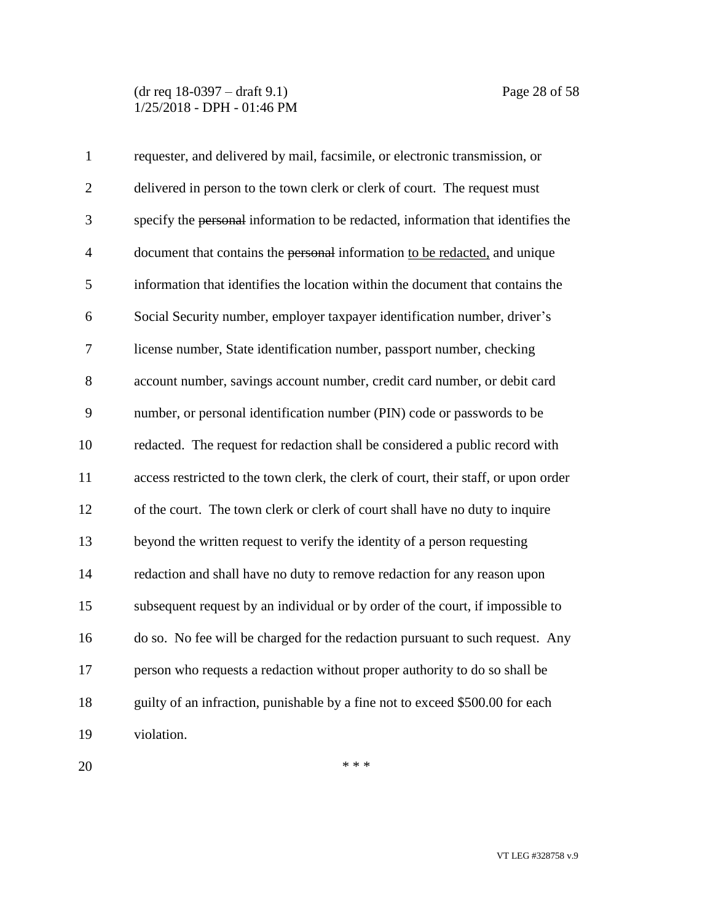(dr req 18-0397 – draft 9.1) Page 28 of 58 1/25/2018 - DPH - 01:46 PM

| $\mathbf{1}$   | requester, and delivered by mail, facsimile, or electronic transmission, or         |
|----------------|-------------------------------------------------------------------------------------|
| $\overline{2}$ | delivered in person to the town clerk or clerk of court. The request must           |
| 3              | specify the personal information to be redacted, information that identifies the    |
| $\overline{4}$ | document that contains the personal information to be redacted, and unique          |
| 5              | information that identifies the location within the document that contains the      |
| 6              | Social Security number, employer taxpayer identification number, driver's           |
| $\tau$         | license number, State identification number, passport number, checking              |
| 8              | account number, savings account number, credit card number, or debit card           |
| 9              | number, or personal identification number (PIN) code or passwords to be             |
| 10             | redacted. The request for redaction shall be considered a public record with        |
| 11             | access restricted to the town clerk, the clerk of court, their staff, or upon order |
| 12             | of the court. The town clerk or clerk of court shall have no duty to inquire        |
| 13             | beyond the written request to verify the identity of a person requesting            |
| 14             | redaction and shall have no duty to remove redaction for any reason upon            |
| 15             | subsequent request by an individual or by order of the court, if impossible to      |
| 16             | do so. No fee will be charged for the redaction pursuant to such request. Any       |
| 17             | person who requests a redaction without proper authority to do so shall be          |
| 18             | guilty of an infraction, punishable by a fine not to exceed \$500.00 for each       |
| 19             | violation.                                                                          |

 $***$ 

VT LEG #328758 v.9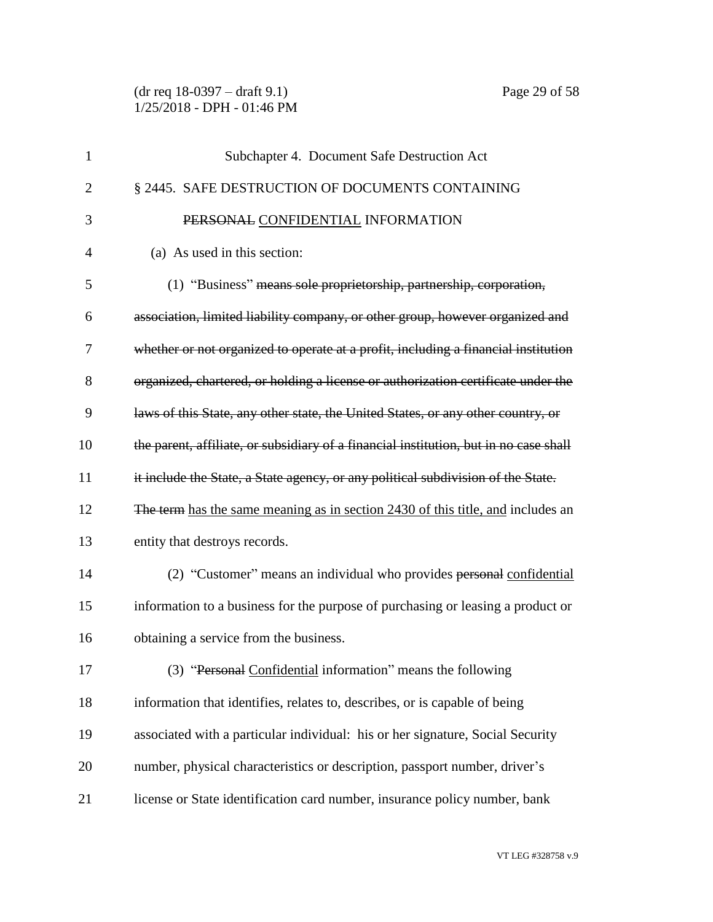(dr req 18-0397 – draft 9.1) Page 29 of 58 1/25/2018 - DPH - 01:46 PM

| 1              | Subchapter 4. Document Safe Destruction Act                                           |
|----------------|---------------------------------------------------------------------------------------|
| $\overline{2}$ | § 2445. SAFE DESTRUCTION OF DOCUMENTS CONTAINING                                      |
| 3              | PERSONAL CONFIDENTIAL INFORMATION                                                     |
| 4              | (a) As used in this section:                                                          |
| 5              | (1) "Business" means sole proprietorship, partnership, corporation,                   |
| 6              | association, limited liability company, or other group, however organized and         |
| 7              | whether or not organized to operate at a profit, including a financial institution    |
| 8              | organized, chartered, or holding a license or authorization certificate under the     |
| 9              | laws of this State, any other state, the United States, or any other country, or      |
| 10             | the parent, affiliate, or subsidiary of a financial institution, but in no case shall |
| 11             | it include the State, a State agency, or any political subdivision of the State.      |
| 12             | The term has the same meaning as in section 2430 of this title, and includes an       |
| 13             | entity that destroys records.                                                         |
| 14             | (2) "Customer" means an individual who provides personal confidential                 |
| 15             | information to a business for the purpose of purchasing or leasing a product or       |
| 16             | obtaining a service from the business.                                                |
| 17             | (3) "Personal Confidential information" means the following                           |
| 18             | information that identifies, relates to, describes, or is capable of being            |
| 19             | associated with a particular individual: his or her signature, Social Security        |
| 20             | number, physical characteristics or description, passport number, driver's            |
| 21             | license or State identification card number, insurance policy number, bank            |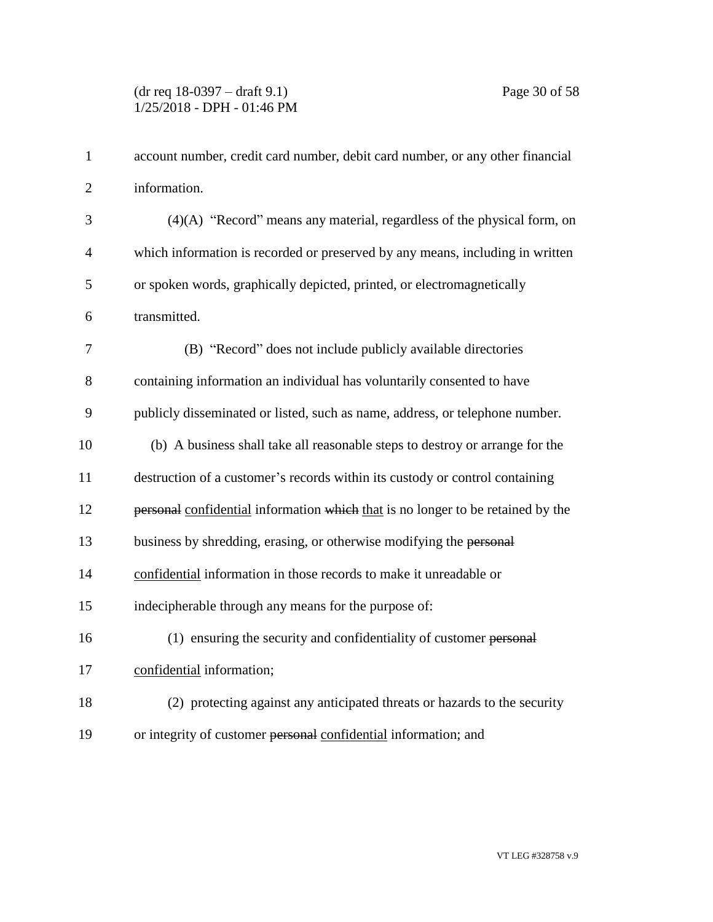| $\mathbf{1}$   | account number, credit card number, debit card number, or any other financial   |
|----------------|---------------------------------------------------------------------------------|
| $\overline{2}$ | information.                                                                    |
| 3              | $(4)(A)$ "Record" means any material, regardless of the physical form, on       |
| $\overline{4}$ | which information is recorded or preserved by any means, including in written   |
| 5              | or spoken words, graphically depicted, printed, or electromagnetically          |
| 6              | transmitted.                                                                    |
| 7              | (B) "Record" does not include publicly available directories                    |
| 8              | containing information an individual has voluntarily consented to have          |
| 9              | publicly disseminated or listed, such as name, address, or telephone number.    |
| 10             | (b) A business shall take all reasonable steps to destroy or arrange for the    |
| 11             | destruction of a customer's records within its custody or control containing    |
| 12             | personal confidential information which that is no longer to be retained by the |
| 13             | business by shredding, erasing, or otherwise modifying the personal             |
| 14             | confidential information in those records to make it unreadable or              |
| 15             | indecipherable through any means for the purpose of:                            |
| 16             | (1) ensuring the security and confidentiality of customer personal              |
| 17             | confidential information;                                                       |
| 18             | (2) protecting against any anticipated threats or hazards to the security       |
| 19             | or integrity of customer personal confidential information; and                 |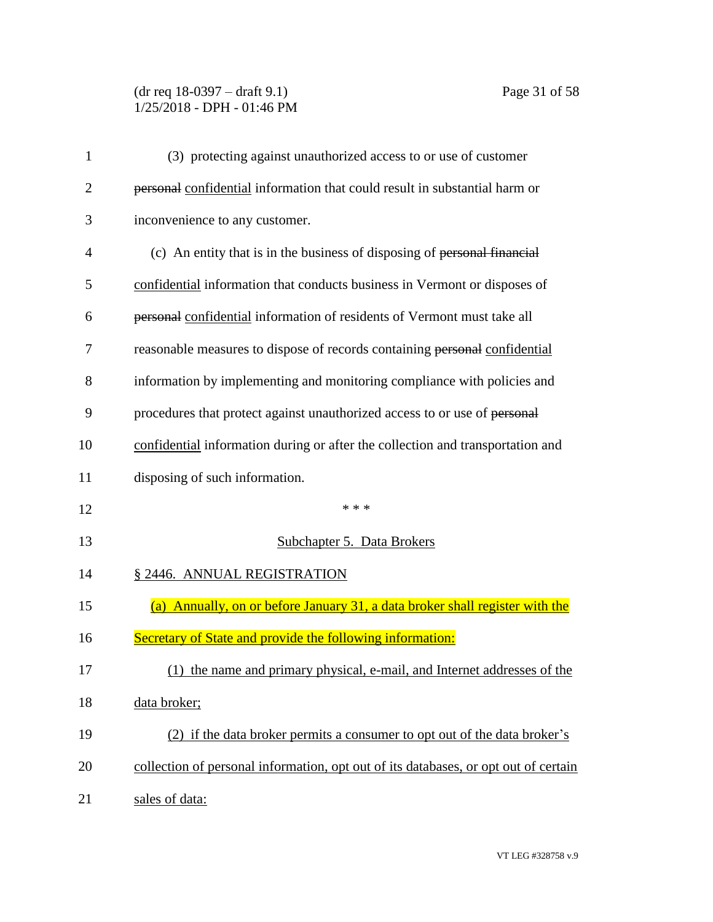# (dr req 18-0397 – draft 9.1) Page 31 of 58 1/25/2018 - DPH - 01:46 PM

| 1              | (3) protecting against unauthorized access to or use of customer                    |
|----------------|-------------------------------------------------------------------------------------|
| $\overline{2}$ | personal confidential information that could result in substantial harm or          |
| 3              | inconvenience to any customer.                                                      |
| 4              | (c) An entity that is in the business of disposing of personal financial            |
| 5              | confidential information that conducts business in Vermont or disposes of           |
| 6              | personal confidential information of residents of Vermont must take all             |
| 7              | reasonable measures to dispose of records containing personal confidential          |
| 8              | information by implementing and monitoring compliance with policies and             |
| 9              | procedures that protect against unauthorized access to or use of personal           |
| 10             | confidential information during or after the collection and transportation and      |
| 11             | disposing of such information.                                                      |
| 12             | * * *                                                                               |
| 13             | Subchapter 5. Data Brokers                                                          |
| 14             | § 2446. ANNUAL REGISTRATION                                                         |
| 15             | (a) Annually, on or before January 31, a data broker shall register with the        |
| 16             | Secretary of State and provide the following information:                           |
| 17             | (1) the name and primary physical, e-mail, and Internet addresses of the            |
| 18             | data broker;                                                                        |
| 19             | (2) if the data broker permits a consumer to opt out of the data broker's           |
| 20             | collection of personal information, opt out of its databases, or opt out of certain |
| 21             | sales of data:                                                                      |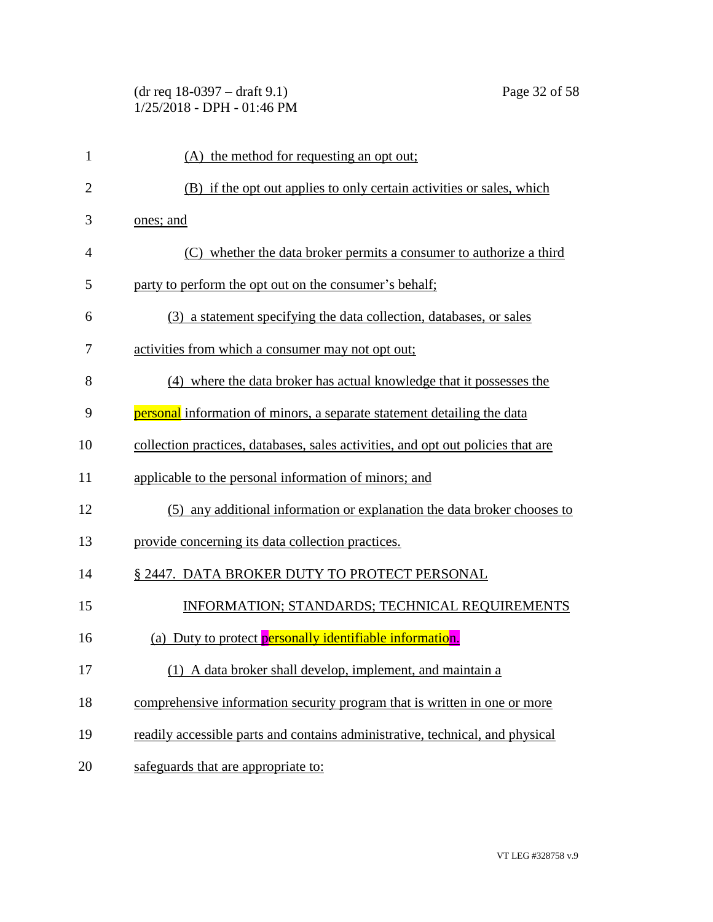# (dr req 18-0397 – draft 9.1) Page 32 of 58 1/25/2018 - DPH - 01:46 PM

| $\mathbf{1}$   | (A) the method for requesting an opt out;                                        |
|----------------|----------------------------------------------------------------------------------|
| $\overline{2}$ | (B) if the opt out applies to only certain activities or sales, which            |
| 3              | ones; and                                                                        |
| 4              | (C) whether the data broker permits a consumer to authorize a third              |
| 5              | party to perform the opt out on the consumer's behalf;                           |
| 6              | (3) a statement specifying the data collection, databases, or sales              |
| 7              | activities from which a consumer may not opt out;                                |
| 8              | (4) where the data broker has actual knowledge that it possesses the             |
| 9              | <b>personal</b> information of minors, a separate statement detailing the data   |
| 10             | collection practices, databases, sales activities, and opt out policies that are |
| 11             | applicable to the personal information of minors; and                            |
| 12             | (5) any additional information or explanation the data broker chooses to         |
| 13             | provide concerning its data collection practices.                                |
| 14             | § 2447. DATA BROKER DUTY TO PROTECT PERSONAL                                     |
| 15             | INFORMATION; STANDARDS; TECHNICAL REQUIREMENTS                                   |
| 16             | (a) Duty to protect <b>personally identifiable information</b> .                 |
| 17             | (1) A data broker shall develop, implement, and maintain a                       |
| 18             | comprehensive information security program that is written in one or more        |
| 19             | readily accessible parts and contains administrative, technical, and physical    |
| 20             | safeguards that are appropriate to:                                              |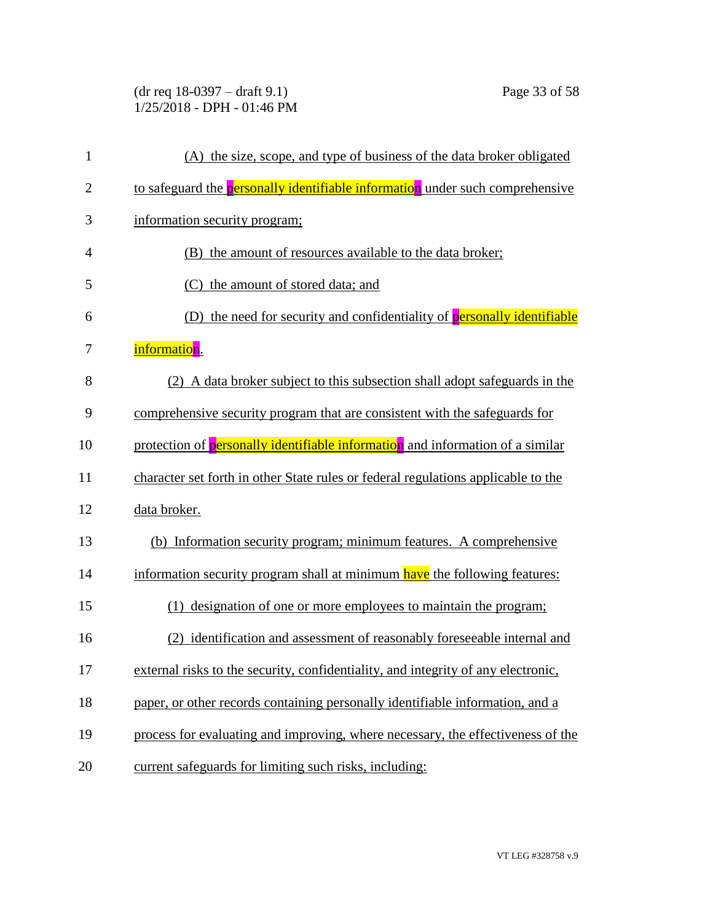(dr req 18-0397 – draft 9.1) Page 33 of 58 1/25/2018 - DPH - 01:46 PM

| $\mathbf{1}$   | (A) the size, scope, and type of business of the data broker obligated               |
|----------------|--------------------------------------------------------------------------------------|
| $\overline{2}$ | to safeguard the <b>personally identifiable information</b> under such comprehensive |
| 3              | information security program;                                                        |
| $\overline{4}$ | (B) the amount of resources available to the data broker;                            |
| 5              | (C) the amount of stored data; and                                                   |
| 6              | (D) the need for security and confidentiality of <b>personally identifiable</b>      |
| 7              | information.                                                                         |
| 8              | (2) A data broker subject to this subsection shall adopt safeguards in the           |
| 9              | comprehensive security program that are consistent with the safeguards for           |
| 10             | protection of personally identifiable information and information of a similar       |
| 11             | character set forth in other State rules or federal regulations applicable to the    |
| 12             | data broker.                                                                         |
| 13             | (b) Information security program; minimum features. A comprehensive                  |
| 14             | information security program shall at minimum have the following features:           |
| 15             | (1) designation of one or more employees to maintain the program;                    |
| 16             | (2) identification and assessment of reasonably foreseeable internal and             |
| 17             | external risks to the security, confidentiality, and integrity of any electronic,    |
| 18             | paper, or other records containing personally identifiable information, and a        |
| 19             | process for evaluating and improving, where necessary, the effectiveness of the      |
| 20             | current safeguards for limiting such risks, including:                               |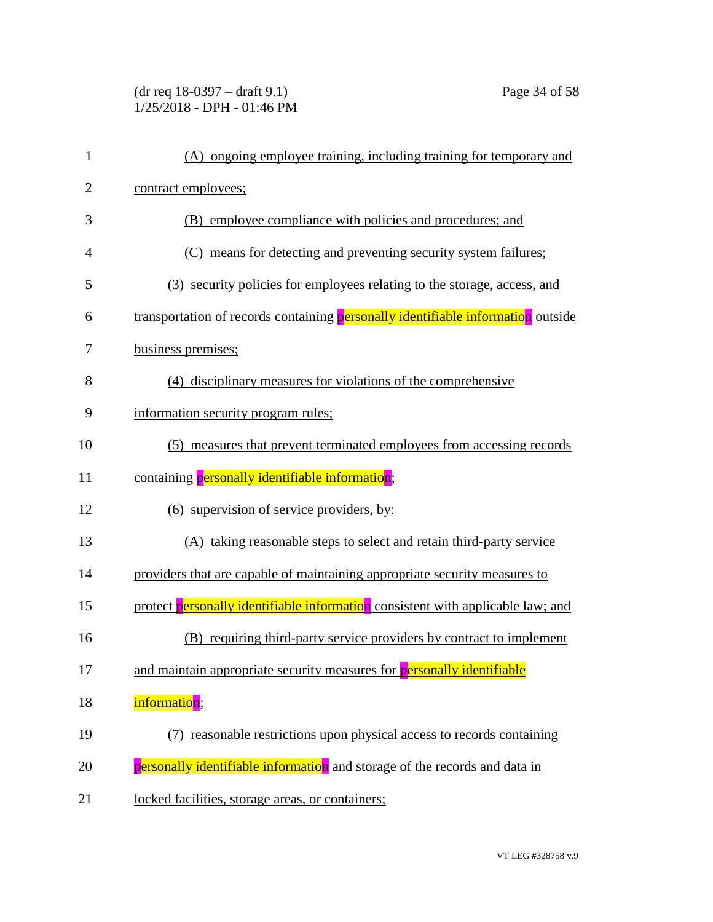(dr req 18-0397 – draft 9.1) Page 34 of 58 1/25/2018 - DPH - 01:46 PM

| $\mathbf{1}$   | (A) ongoing employee training, including training for temporary and              |
|----------------|----------------------------------------------------------------------------------|
| $\overline{2}$ | contract employees;                                                              |
| 3              | (B) employee compliance with policies and procedures; and                        |
| $\overline{4}$ | (C) means for detecting and preventing security system failures;                 |
| 5              | (3) security policies for employees relating to the storage, access, and         |
| 6              | transportation of records containing personally identifiable information outside |
| 7              | business premises;                                                               |
| 8              | (4) disciplinary measures for violations of the comprehensive                    |
| 9              | information security program rules;                                              |
| 10             | (5) measures that prevent terminated employees from accessing records            |
| 11             | containing personally identifiable information;                                  |
| 12             | (6) supervision of service providers, by:                                        |
| 13             | (A) taking reasonable steps to select and retain third-party service             |
| 14             | providers that are capable of maintaining appropriate security measures to       |
| 15             | protect personally identifiable information consistent with applicable law; and  |
| 16             | (B) requiring third-party service providers by contract to implement             |
| 17             | and maintain appropriate security measures for <b>personally identifiable</b>    |
| 18             | information;                                                                     |
| 19             | (7) reasonable restrictions upon physical access to records containing           |
| 20             | personally identifiable information and storage of the records and data in       |
| 21             | locked facilities, storage areas, or containers;                                 |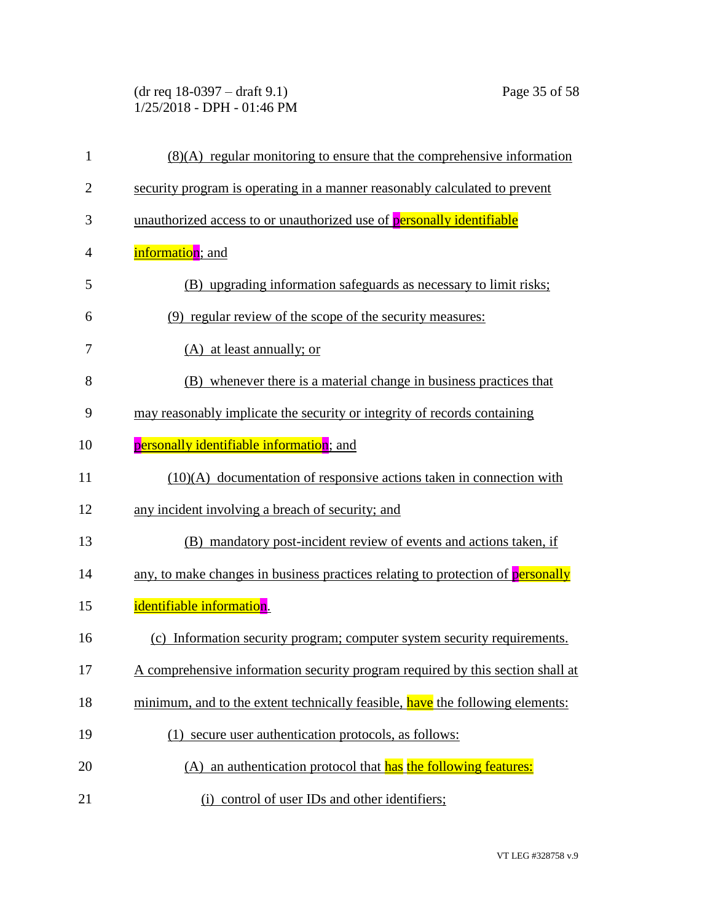(dr req 18-0397 – draft 9.1) Page 35 of 58 1/25/2018 - DPH - 01:46 PM

| $\mathbf{1}$   | $(8)(A)$ regular monitoring to ensure that the comprehensive information        |
|----------------|---------------------------------------------------------------------------------|
| $\overline{c}$ | security program is operating in a manner reasonably calculated to prevent      |
| 3              | unauthorized access to or unauthorized use of personally identifiable           |
| 4              | information; and                                                                |
| 5              | (B) upgrading information safeguards as necessary to limit risks;               |
| 6              | (9) regular review of the scope of the security measures:                       |
| 7              | $(A)$ at least annually; or                                                     |
| 8              | (B) whenever there is a material change in business practices that              |
| 9              | may reasonably implicate the security or integrity of records containing        |
| 10             | personally identifiable information; and                                        |
| 11             | $(10)(A)$ documentation of responsive actions taken in connection with          |
| 12             | any incident involving a breach of security; and                                |
| 13             | (B) mandatory post-incident review of events and actions taken, if              |
| 14             | any, to make changes in business practices relating to protection of personally |
| 15             | identifiable information.                                                       |
| 16             | (c) Information security program; computer system security requirements.        |
| 17             | A comprehensive information security program required by this section shall at  |
| 18             | minimum, and to the extent technically feasible, have the following elements:   |
| 19             | (1) secure user authentication protocols, as follows:                           |
| 20             | (A) an authentication protocol that has the following features:                 |
| 21             | (i) control of user IDs and other identifiers;                                  |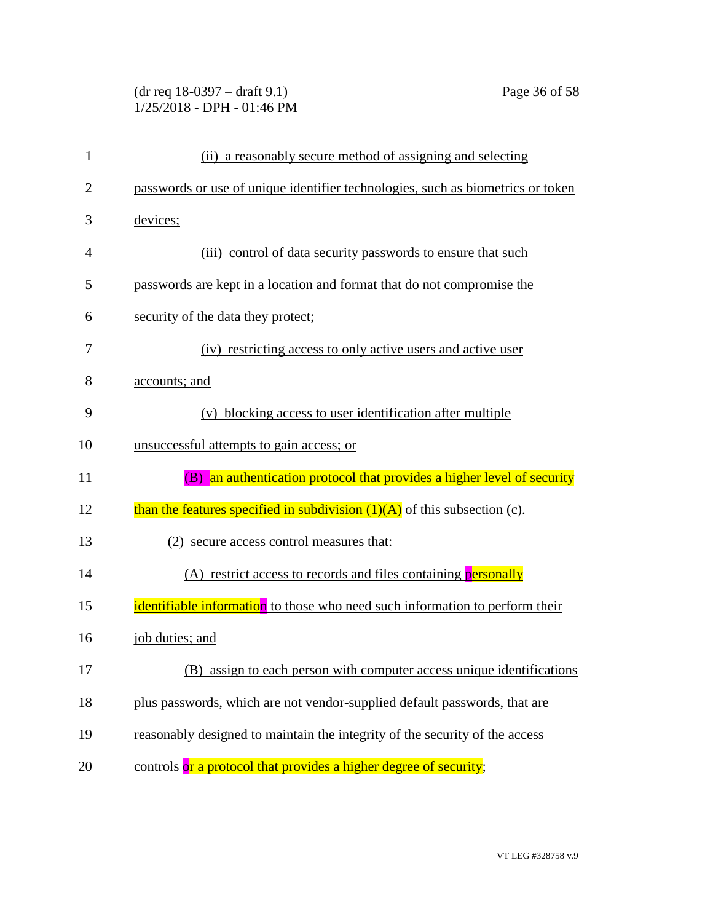# (dr req 18-0397 – draft 9.1) Page 36 of 58 1/25/2018 - DPH - 01:46 PM

| $\mathbf{1}$   | (ii) a reasonably secure method of assigning and selecting                      |
|----------------|---------------------------------------------------------------------------------|
| $\overline{2}$ | passwords or use of unique identifier technologies, such as biometrics or token |
| 3              | devices;                                                                        |
| 4              | (iii) control of data security passwords to ensure that such                    |
| 5              | passwords are kept in a location and format that do not compromise the          |
| 6              | security of the data they protect;                                              |
| 7              | (iv) restricting access to only active users and active user                    |
| 8              | accounts; and                                                                   |
| 9              | (v) blocking access to user identification after multiple                       |
| 10             | unsuccessful attempts to gain access; or                                        |
| 11             | an authentication protocol that provides a higher level of security<br>(B)      |
| 12             | than the features specified in subdivision $(1)(A)$ of this subsection (c).     |
| 13             | (2) secure access control measures that:                                        |
| 14             | (A) restrict access to records and files containing <b>personally</b>           |
| 15             | identifiable information to those who need such information to perform their    |
| 16             | job duties; and                                                                 |
| 17             | (B)                                                                             |
|                | assign to each person with computer access unique identifications               |
| 18             | plus passwords, which are not vendor-supplied default passwords, that are       |
| 19             | reasonably designed to maintain the integrity of the security of the access     |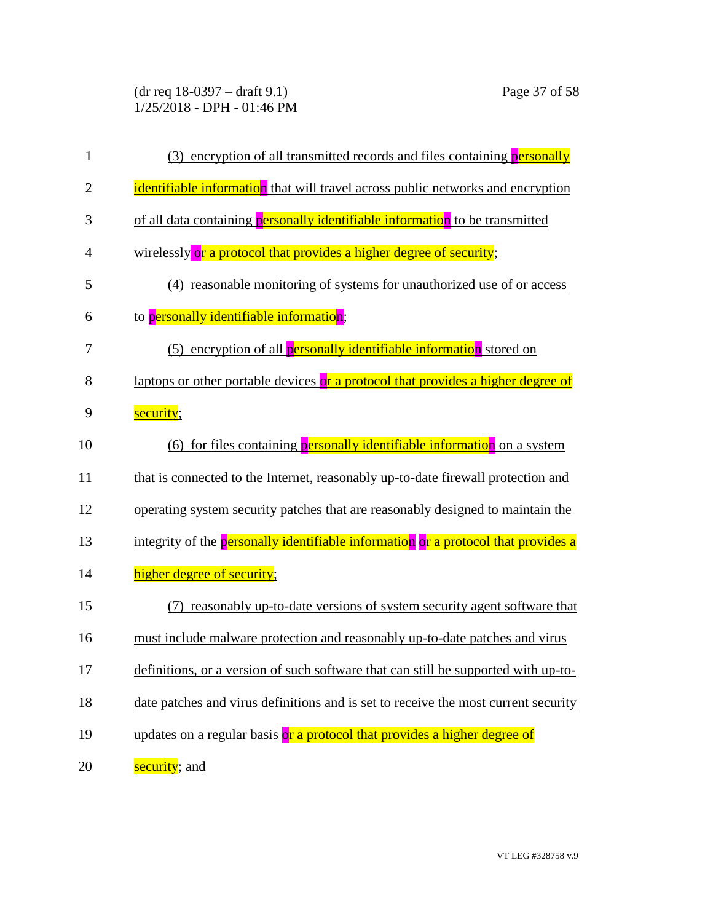(dr req 18-0397 – draft 9.1) Page 37 of 58 1/25/2018 - DPH - 01:46 PM

| $\mathbf{1}$   | encryption of all transmitted records and files containing <b>personally</b><br>(3) |
|----------------|-------------------------------------------------------------------------------------|
| $\overline{2}$ | identifiable information that will travel across public networks and encryption     |
| 3              | of all data containing personally identifiable information to be transmitted        |
| 4              | wirelessly or a protocol that provides a higher degree of security;                 |
| 5              | (4) reasonable monitoring of systems for unauthorized use of or access              |
| 6              | to personally identifiable information;                                             |
| 7              | (5) encryption of all personally identifiable information stored on                 |
| 8              | laptops or other portable devices or a protocol that provides a higher degree of    |
| 9              | security;                                                                           |
| 10             | (6) for files containing <b>personally identifiable information</b> on a system     |
| 11             | that is connected to the Internet, reasonably up-to-date firewall protection and    |
| 12             | operating system security patches that are reasonably designed to maintain the      |
| 13             | integrity of the personally identifiable information or a protocol that provides a  |
| 14             | higher degree of security;                                                          |
| 15             | reasonably up-to-date versions of system security agent software that               |
| 16             | must include malware protection and reasonably up-to-date patches and virus         |
| 17             | definitions, or a version of such software that can still be supported with up-to-  |
| 18             | date patches and virus definitions and is set to receive the most current security  |
| 19             | updates on a regular basis or a protocol that provides a higher degree of           |
| 20             | security; and                                                                       |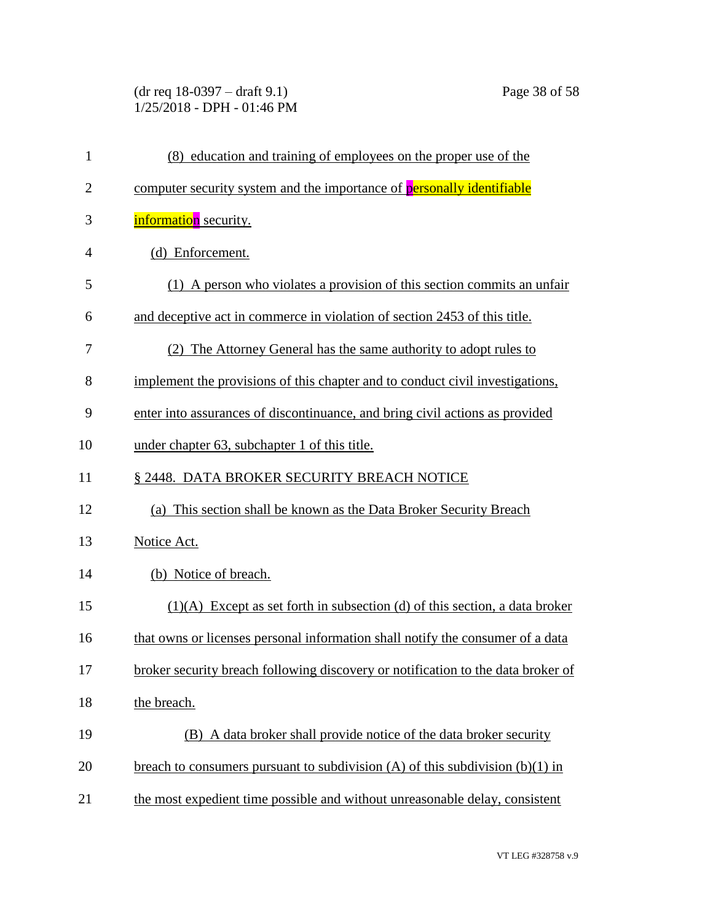(dr req 18-0397 – draft 9.1) Page 38 of 58 1/25/2018 - DPH - 01:46 PM

| $\mathbf{1}$   | (8) education and training of employees on the proper use of the                  |
|----------------|-----------------------------------------------------------------------------------|
| $\overline{2}$ | computer security system and the importance of personally identifiable            |
| 3              | <b>information</b> security.                                                      |
| $\overline{4}$ | (d) Enforcement.                                                                  |
| 5              | (1) A person who violates a provision of this section commits an unfair           |
| 6              | and deceptive act in commerce in violation of section 2453 of this title.         |
| 7              | (2) The Attorney General has the same authority to adopt rules to                 |
| 8              | implement the provisions of this chapter and to conduct civil investigations,     |
| 9              | enter into assurances of discontinuance, and bring civil actions as provided      |
| 10             | under chapter 63, subchapter 1 of this title.                                     |
| 11             | § 2448. DATA BROKER SECURITY BREACH NOTICE                                        |
| 12             | (a) This section shall be known as the Data Broker Security Breach                |
| 13             | Notice Act.                                                                       |
| 14             | (b) Notice of breach.                                                             |
| 15             | $(1)(A)$ Except as set forth in subsection (d) of this section, a data broker     |
| 16             | that owns or licenses personal information shall notify the consumer of a data    |
| 17             | broker security breach following discovery or notification to the data broker of  |
| 18             | the breach.                                                                       |
| 19             | (B) A data broker shall provide notice of the data broker security                |
| 20             | breach to consumers pursuant to subdivision $(A)$ of this subdivision $(b)(1)$ in |
| 21             | the most expedient time possible and without unreasonable delay, consistent       |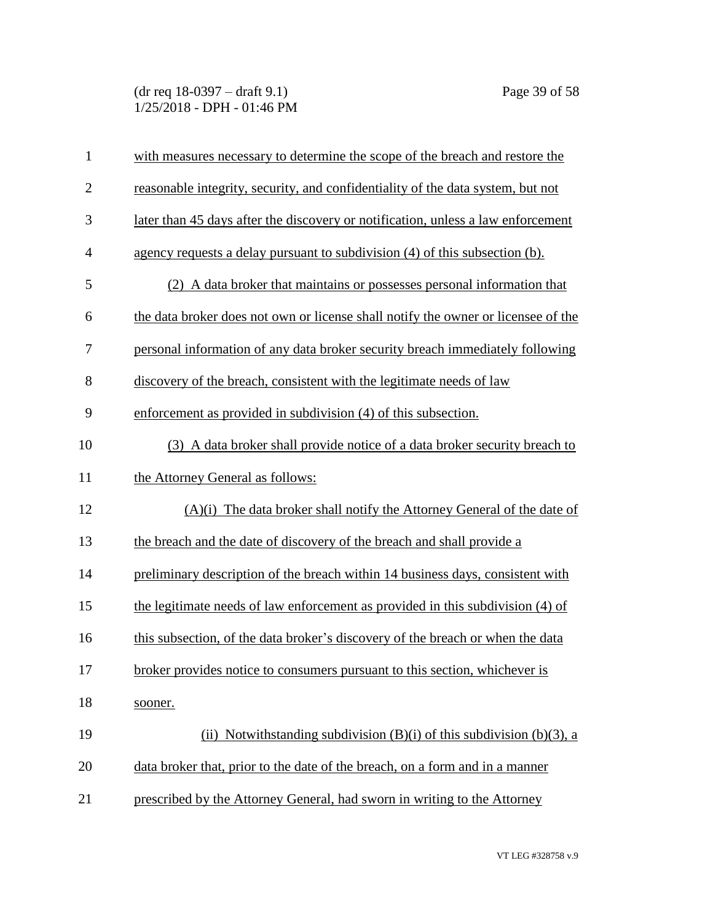(dr req 18-0397 – draft 9.1) Page 39 of 58 1/25/2018 - DPH - 01:46 PM

| $\mathbf{1}$   | with measures necessary to determine the scope of the breach and restore the      |
|----------------|-----------------------------------------------------------------------------------|
| $\overline{2}$ | reasonable integrity, security, and confidentiality of the data system, but not   |
| 3              | later than 45 days after the discovery or notification, unless a law enforcement  |
| $\overline{4}$ | agency requests a delay pursuant to subdivision (4) of this subsection (b).       |
| 5              | (2) A data broker that maintains or possesses personal information that           |
| 6              | the data broker does not own or license shall notify the owner or licensee of the |
| 7              | personal information of any data broker security breach immediately following     |
| 8              | discovery of the breach, consistent with the legitimate needs of law              |
| 9              | enforcement as provided in subdivision (4) of this subsection.                    |
| 10             | (3) A data broker shall provide notice of a data broker security breach to        |
| 11             | the Attorney General as follows:                                                  |
| 12             | $(A)(i)$ The data broker shall notify the Attorney General of the date of         |
| 13             | the breach and the date of discovery of the breach and shall provide a            |
| 14             | preliminary description of the breach within 14 business days, consistent with    |
| 15             | the legitimate needs of law enforcement as provided in this subdivision (4) of    |
| 16             | this subsection, of the data broker's discovery of the breach or when the data    |
| 17             | broker provides notice to consumers pursuant to this section, whichever is        |
| 18             | sooner.                                                                           |
| 19             | (ii) Notwithstanding subdivision $(B)(i)$ of this subdivision $(b)(3)$ , a        |
| 20             | data broker that, prior to the date of the breach, on a form and in a manner      |
| 21             | prescribed by the Attorney General, had sworn in writing to the Attorney          |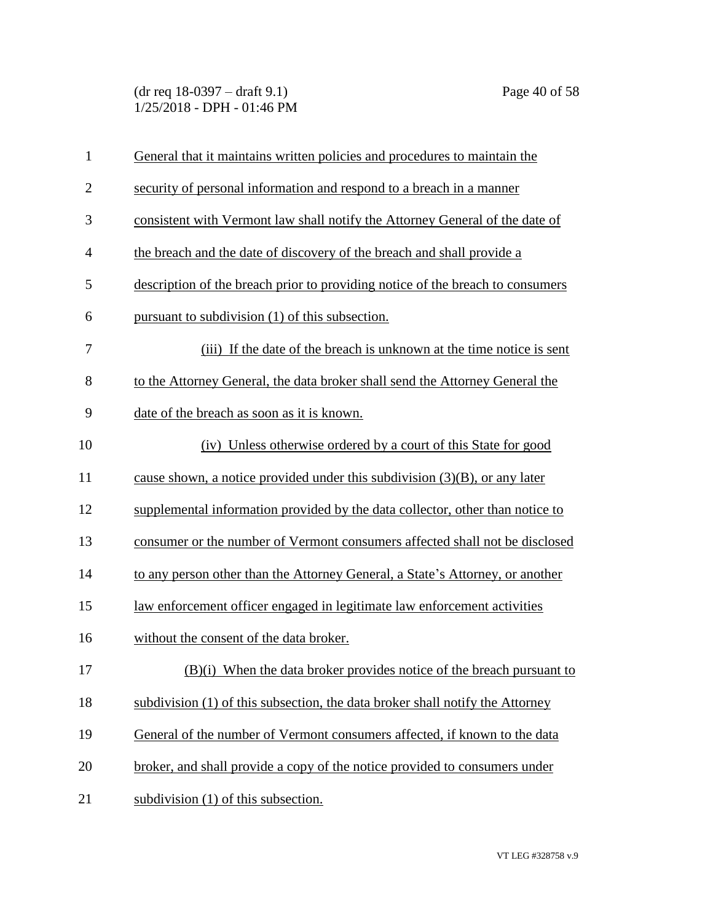(dr req 18-0397 – draft 9.1) Page 40 of 58 1/25/2018 - DPH - 01:46 PM

| $\mathbf{1}$ | General that it maintains written policies and procedures to maintain the      |
|--------------|--------------------------------------------------------------------------------|
| $\mathbf{2}$ | security of personal information and respond to a breach in a manner           |
| 3            | consistent with Vermont law shall notify the Attorney General of the date of   |
| 4            | the breach and the date of discovery of the breach and shall provide a         |
| 5            | description of the breach prior to providing notice of the breach to consumers |
| 6            | pursuant to subdivision (1) of this subsection.                                |
| 7            | (iii) If the date of the breach is unknown at the time notice is sent          |
| 8            | to the Attorney General, the data broker shall send the Attorney General the   |
| 9            | date of the breach as soon as it is known.                                     |
| 10           | (iv) Unless otherwise ordered by a court of this State for good                |
| 11           | cause shown, a notice provided under this subdivision $(3)(B)$ , or any later  |
| 12           | supplemental information provided by the data collector, other than notice to  |
| 13           | consumer or the number of Vermont consumers affected shall not be disclosed    |
| 14           | to any person other than the Attorney General, a State's Attorney, or another  |
| 15           | law enforcement officer engaged in legitimate law enforcement activities       |
| 16           | without the consent of the data broker.                                        |
| 17           | (B)(i) When the data broker provides notice of the breach pursuant to          |
| 18           | subdivision (1) of this subsection, the data broker shall notify the Attorney  |
| 19           | General of the number of Vermont consumers affected, if known to the data      |
| 20           | broker, and shall provide a copy of the notice provided to consumers under     |
| 21           | subdivision (1) of this subsection.                                            |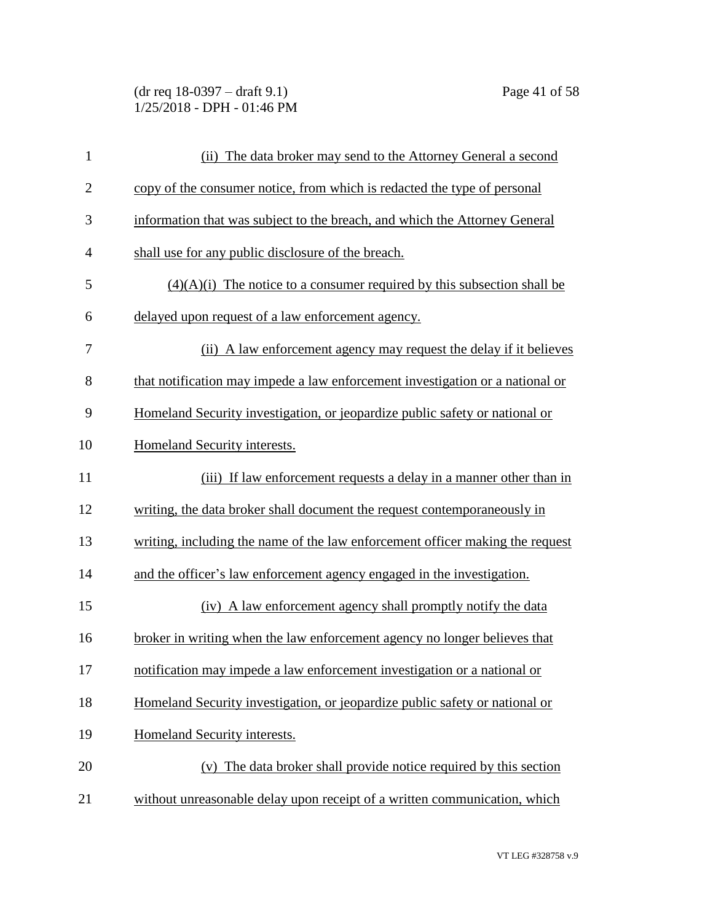(dr req 18-0397 – draft 9.1) Page 41 of 58 1/25/2018 - DPH - 01:46 PM

| $\mathbf{1}$   | (ii) The data broker may send to the Attorney General a second                |
|----------------|-------------------------------------------------------------------------------|
| $\overline{2}$ | copy of the consumer notice, from which is redacted the type of personal      |
| 3              | information that was subject to the breach, and which the Attorney General    |
| $\overline{4}$ | shall use for any public disclosure of the breach.                            |
| 5              | $(4)(A)(i)$ The notice to a consumer required by this subsection shall be     |
| 6              | delayed upon request of a law enforcement agency.                             |
| 7              | (ii) A law enforcement agency may request the delay if it believes            |
| 8              | that notification may impede a law enforcement investigation or a national or |
| 9              | Homeland Security investigation, or jeopardize public safety or national or   |
| 10             | Homeland Security interests.                                                  |
| 11             | (iii) If law enforcement requests a delay in a manner other than in           |
| 12             | writing, the data broker shall document the request contemporaneously in      |
| 13             | writing, including the name of the law enforcement officer making the request |
| 14             | and the officer's law enforcement agency engaged in the investigation.        |
| 15             | (iv) A law enforcement agency shall promptly notify the data                  |
| 16             | broker in writing when the law enforcement agency no longer believes that     |
| 17             | notification may impede a law enforcement investigation or a national or      |
| 18             | Homeland Security investigation, or jeopardize public safety or national or   |
| 19             | Homeland Security interests.                                                  |
| 20             | (v) The data broker shall provide notice required by this section             |
| 21             | without unreasonable delay upon receipt of a written communication, which     |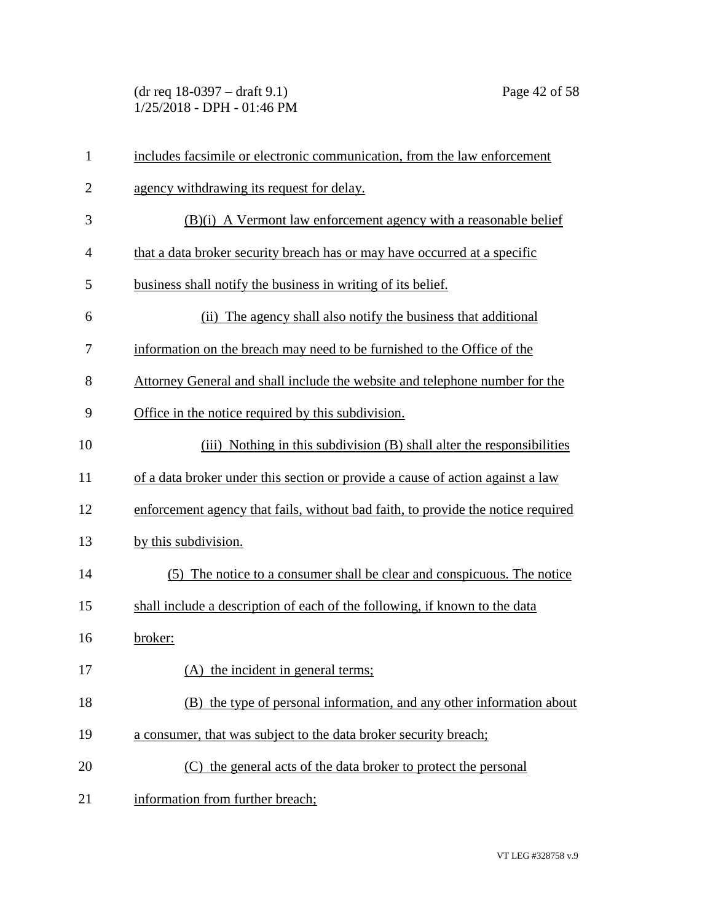(dr req 18-0397 – draft 9.1) Page 42 of 58 1/25/2018 - DPH - 01:46 PM

| 1              | includes facsimile or electronic communication, from the law enforcement         |
|----------------|----------------------------------------------------------------------------------|
| $\overline{c}$ | agency withdrawing its request for delay.                                        |
| 3              | (B)(i) A Vermont law enforcement agency with a reasonable belief                 |
| 4              | that a data broker security breach has or may have occurred at a specific        |
| 5              | business shall notify the business in writing of its belief.                     |
| 6              | (ii) The agency shall also notify the business that additional                   |
| 7              | information on the breach may need to be furnished to the Office of the          |
| 8              | Attorney General and shall include the website and telephone number for the      |
| 9              | Office in the notice required by this subdivision.                               |
| 10             | (iii) Nothing in this subdivision (B) shall alter the responsibilities           |
| 11             | of a data broker under this section or provide a cause of action against a law   |
| 12             | enforcement agency that fails, without bad faith, to provide the notice required |
| 13             | by this subdivision.                                                             |
| 14             | (5) The notice to a consumer shall be clear and conspicuous. The notice          |
| 15             | shall include a description of each of the following, if known to the data       |
| 16             | broker:                                                                          |
| 17             | (A) the incident in general terms;                                               |
| 18             | (B) the type of personal information, and any other information about            |
| 19             | a consumer, that was subject to the data broker security breach;                 |
| 20             | (C) the general acts of the data broker to protect the personal                  |
| 21             | information from further breach;                                                 |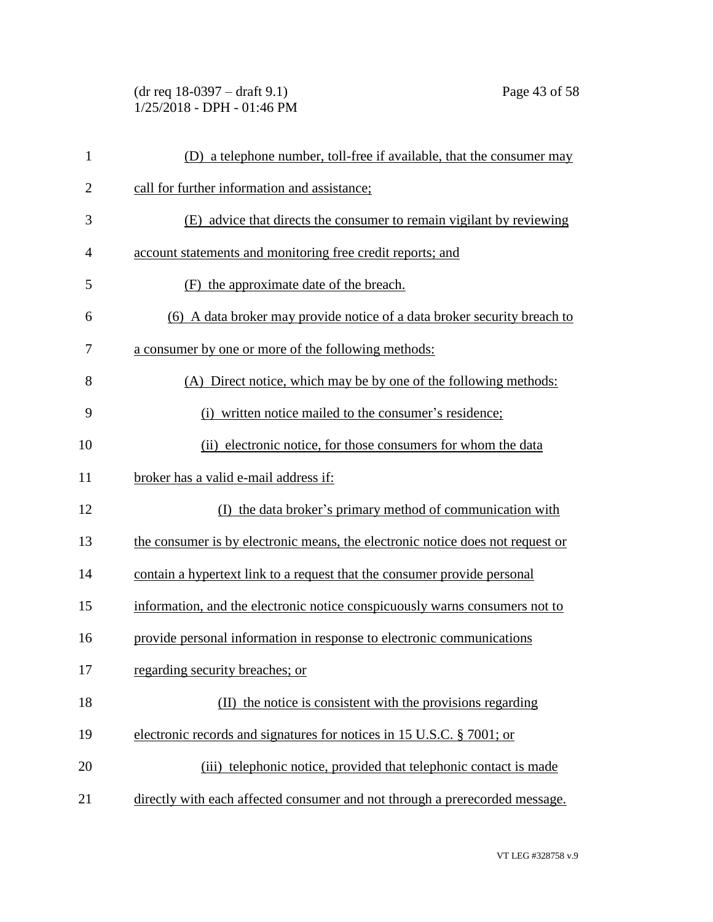(dr req 18-0397 – draft 9.1) Page 43 of 58 1/25/2018 - DPH - 01:46 PM

| $\mathbf{1}$   | (D) a telephone number, toll-free if available, that the consumer may          |
|----------------|--------------------------------------------------------------------------------|
| $\overline{2}$ | call for further information and assistance;                                   |
| 3              | (E) advice that directs the consumer to remain vigilant by reviewing           |
| $\overline{4}$ | account statements and monitoring free credit reports; and                     |
| 5              | (F) the approximate date of the breach.                                        |
| 6              | (6) A data broker may provide notice of a data broker security breach to       |
| 7              | a consumer by one or more of the following methods:                            |
| 8              | (A) Direct notice, which may be by one of the following methods:               |
| 9              | (i) written notice mailed to the consumer's residence;                         |
| 10             | (ii) electronic notice, for those consumers for whom the data                  |
| 11             | broker has a valid e-mail address if:                                          |
| 12             | (I) the data broker's primary method of communication with                     |
| 13             | the consumer is by electronic means, the electronic notice does not request or |
| 14             | contain a hypertext link to a request that the consumer provide personal       |
| 15             | information, and the electronic notice conspicuously warns consumers not to    |
| 16             | provide personal information in response to electronic communications          |
| 17             | regarding security breaches; or                                                |
| 18             | (II) the notice is consistent with the provisions regarding                    |
| 19             | electronic records and signatures for notices in 15 U.S.C. § 7001; or          |
| 20             | (iii) telephonic notice, provided that telephonic contact is made              |
| 21             | directly with each affected consumer and not through a prerecorded message.    |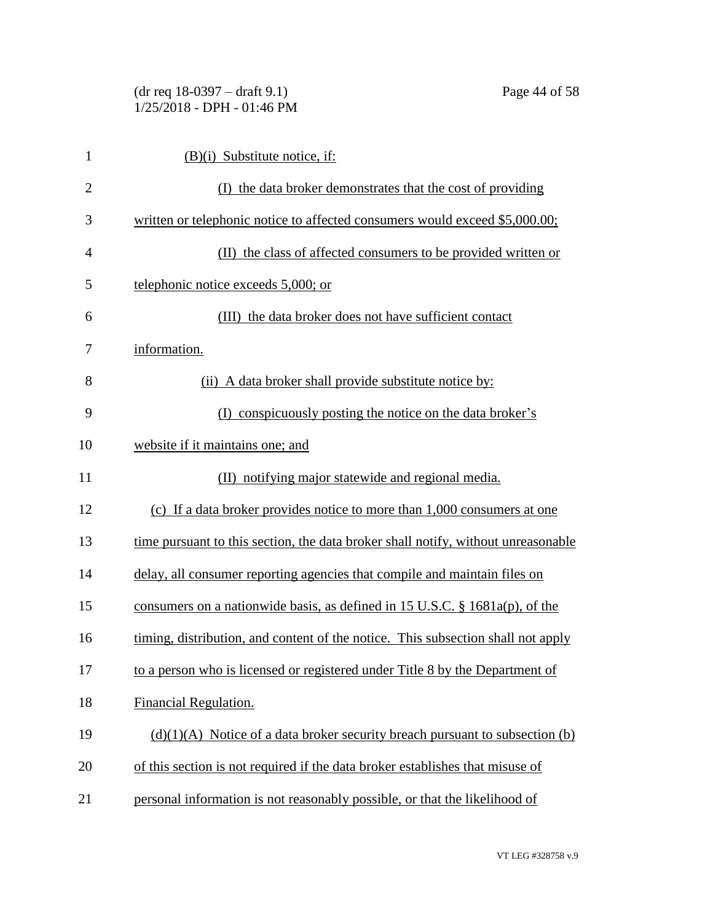| $\mathbf{1}$   | $(B)(i)$ Substitute notice, if:                                                   |
|----------------|-----------------------------------------------------------------------------------|
| $\overline{2}$ | (I) the data broker demonstrates that the cost of providing                       |
| 3              | written or telephonic notice to affected consumers would exceed \$5,000.00;       |
| $\overline{4}$ | (II) the class of affected consumers to be provided written or                    |
| 5              | telephonic notice exceeds 5,000; or                                               |
| 6              | (III) the data broker does not have sufficient contact                            |
| 7              | information.                                                                      |
| 8              | (ii) A data broker shall provide substitute notice by:                            |
| 9              | (I) conspicuously posting the notice on the data broker's                         |
| 10             | website if it maintains one; and                                                  |
| 11             | (II) notifying major statewide and regional media.                                |
| 12             | (c) If a data broker provides notice to more than 1,000 consumers at one          |
| 13             | time pursuant to this section, the data broker shall notify, without unreasonable |
| 14             | delay, all consumer reporting agencies that compile and maintain files on         |
| 15             | consumers on a nationwide basis, as defined in 15 U.S.C. $\S$ 1681a(p), of the    |
| 16             | timing, distribution, and content of the notice. This subsection shall not apply  |
| 17             | to a person who is licensed or registered under Title 8 by the Department of      |
| 18             | Financial Regulation.                                                             |
| 19             | $(d)(1)(A)$ Notice of a data broker security breach pursuant to subsection (b)    |
| 20             | of this section is not required if the data broker establishes that misuse of     |
|                |                                                                                   |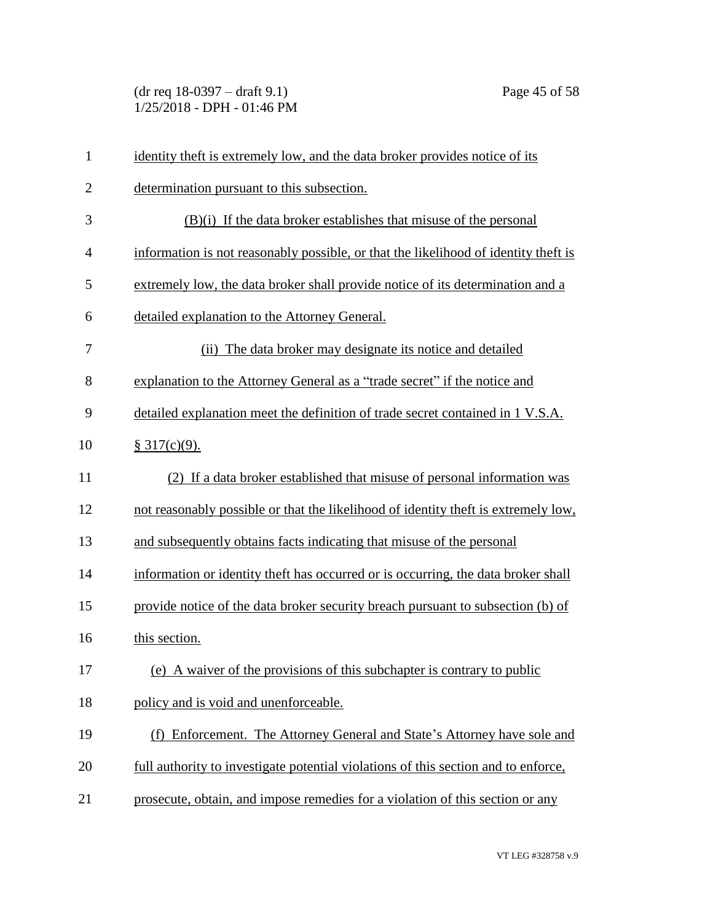(dr req 18-0397 – draft 9.1) Page 45 of 58 1/25/2018 - DPH - 01:46 PM

| $\mathbf{1}$   | identity theft is extremely low, and the data broker provides notice of its         |
|----------------|-------------------------------------------------------------------------------------|
| $\overline{2}$ | determination pursuant to this subsection.                                          |
| 3              | $(B)(i)$ If the data broker establishes that misuse of the personal                 |
| 4              | information is not reasonably possible, or that the likelihood of identity theft is |
| 5              | extremely low, the data broker shall provide notice of its determination and a      |
| 6              | detailed explanation to the Attorney General.                                       |
| 7              | (ii) The data broker may designate its notice and detailed                          |
| 8              | explanation to the Attorney General as a "trade secret" if the notice and           |
| 9              | detailed explanation meet the definition of trade secret contained in 1 V.S.A.      |
| 10             | \$317(c)(9).                                                                        |
| 11             | (2) If a data broker established that misuse of personal information was            |
| 12             | not reasonably possible or that the likelihood of identity theft is extremely low.  |
| 13             | and subsequently obtains facts indicating that misuse of the personal               |
| 14             | information or identity theft has occurred or is occurring, the data broker shall   |
| 15             | provide notice of the data broker security breach pursuant to subsection (b) of     |
| 16             | this section.                                                                       |
| 17             | (e) A waiver of the provisions of this subchapter is contrary to public             |
| 18             | policy and is void and unenforceable.                                               |
| 19             | (f) Enforcement. The Attorney General and State's Attorney have sole and            |
| 20             | full authority to investigate potential violations of this section and to enforce,  |
| 21             | prosecute, obtain, and impose remedies for a violation of this section or any       |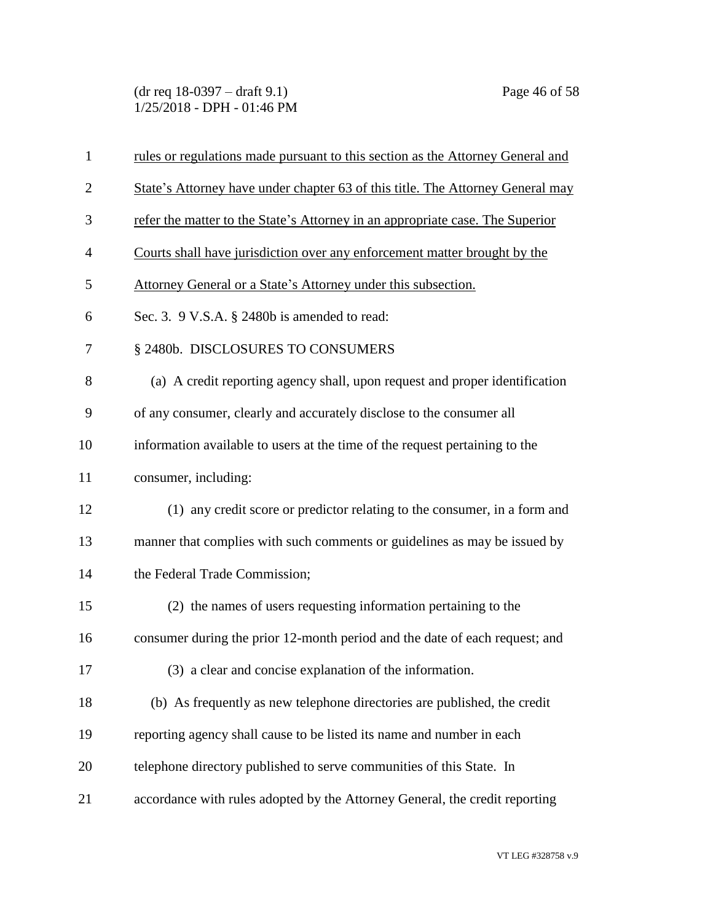(dr req 18-0397 – draft 9.1) Page 46 of 58 1/25/2018 - DPH - 01:46 PM

| $\mathbf{1}$   | rules or regulations made pursuant to this section as the Attorney General and |
|----------------|--------------------------------------------------------------------------------|
| $\overline{2}$ | State's Attorney have under chapter 63 of this title. The Attorney General may |
| 3              | refer the matter to the State's Attorney in an appropriate case. The Superior  |
| $\overline{4}$ | Courts shall have jurisdiction over any enforcement matter brought by the      |
| 5              | Attorney General or a State's Attorney under this subsection.                  |
| 6              | Sec. 3. 9 V.S.A. § 2480b is amended to read:                                   |
| 7              | § 2480b. DISCLOSURES TO CONSUMERS                                              |
| 8              | (a) A credit reporting agency shall, upon request and proper identification    |
| 9              | of any consumer, clearly and accurately disclose to the consumer all           |
| 10             | information available to users at the time of the request pertaining to the    |
| 11             | consumer, including:                                                           |
| 12             | (1) any credit score or predictor relating to the consumer, in a form and      |
| 13             | manner that complies with such comments or guidelines as may be issued by      |
| 14             | the Federal Trade Commission;                                                  |
| 15             | (2) the names of users requesting information pertaining to the                |
| 16             | consumer during the prior 12-month period and the date of each request; and    |
| 17             | (3) a clear and concise explanation of the information.                        |
| 18             | (b) As frequently as new telephone directories are published, the credit       |
| 19             | reporting agency shall cause to be listed its name and number in each          |
| 20             | telephone directory published to serve communities of this State. In           |
| 21             | accordance with rules adopted by the Attorney General, the credit reporting    |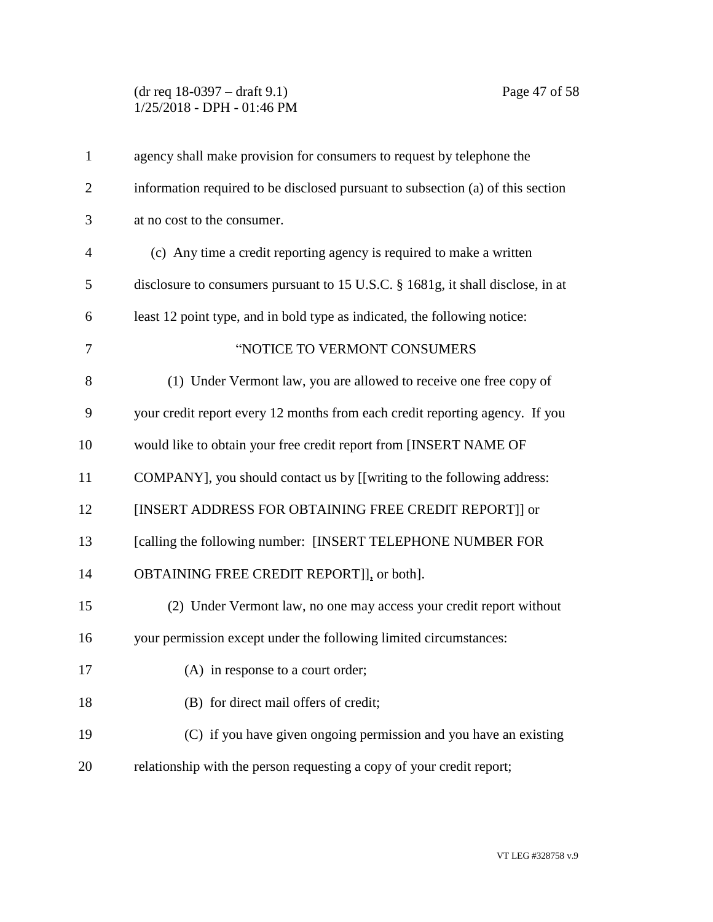## (dr req 18-0397 – draft 9.1) Page 47 of 58 1/25/2018 - DPH - 01:46 PM

| $\mathbf{1}$   | agency shall make provision for consumers to request by telephone the           |
|----------------|---------------------------------------------------------------------------------|
| $\overline{2}$ | information required to be disclosed pursuant to subsection (a) of this section |
| 3              | at no cost to the consumer.                                                     |
| $\overline{4}$ | (c) Any time a credit reporting agency is required to make a written            |
| 5              | disclosure to consumers pursuant to 15 U.S.C. § 1681g, it shall disclose, in at |
| 6              | least 12 point type, and in bold type as indicated, the following notice:       |
| 7              | "NOTICE TO VERMONT CONSUMERS                                                    |
| 8              | (1) Under Vermont law, you are allowed to receive one free copy of              |
| 9              | your credit report every 12 months from each credit reporting agency. If you    |
| 10             | would like to obtain your free credit report from [INSERT NAME OF               |
| 11             | COMPANY], you should contact us by [[writing to the following address:          |
| 12             | [INSERT ADDRESS FOR OBTAINING FREE CREDIT REPORT]] or                           |
| 13             | [calling the following number: [INSERT TELEPHONE NUMBER FOR                     |
| 14             | OBTAINING FREE CREDIT REPORT]], or both].                                       |
| 15             | (2) Under Vermont law, no one may access your credit report without             |
| 16             | your permission except under the following limited circumstances:               |
| 17             | (A) in response to a court order;                                               |
| 18             | (B) for direct mail offers of credit;                                           |
| 19             | (C) if you have given ongoing permission and you have an existing               |
| 20             | relationship with the person requesting a copy of your credit report;           |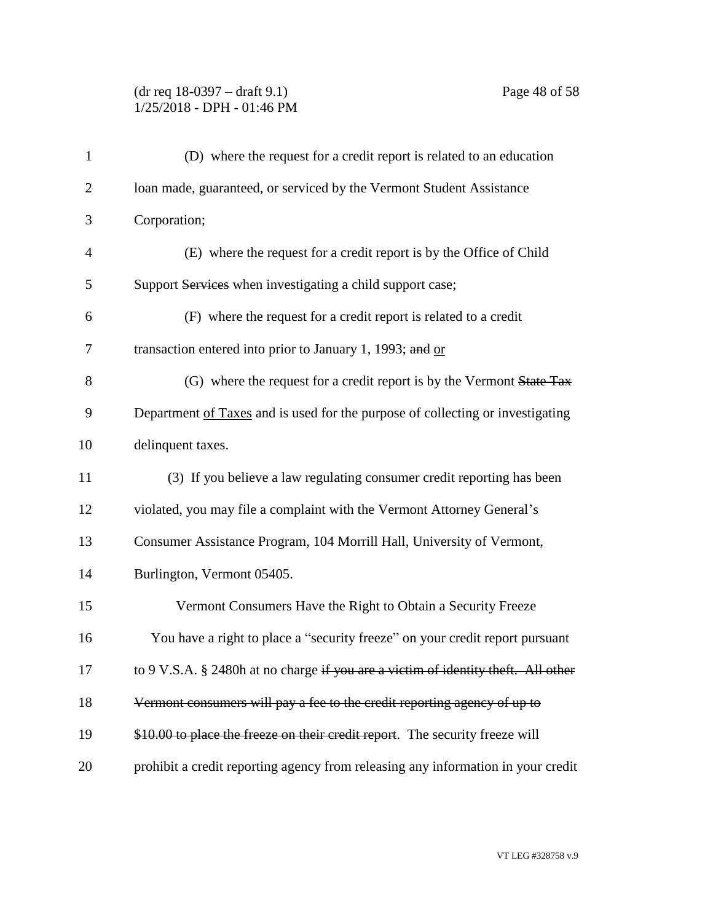## (dr req 18-0397 – draft 9.1) Page 48 of 58 1/25/2018 - DPH - 01:46 PM

| $\mathbf{1}$   | (D) where the request for a credit report is related to an education              |
|----------------|-----------------------------------------------------------------------------------|
| $\overline{2}$ | Ioan made, guaranteed, or serviced by the Vermont Student Assistance              |
| 3              | Corporation;                                                                      |
| $\overline{4}$ | (E) where the request for a credit report is by the Office of Child               |
| 5              | Support Services when investigating a child support case;                         |
| 6              | (F) where the request for a credit report is related to a credit                  |
| 7              | transaction entered into prior to January 1, 1993; and or                         |
| 8              | (G) where the request for a credit report is by the Vermont State Tax             |
| 9              | Department of Taxes and is used for the purpose of collecting or investigating    |
| 10             | delinquent taxes.                                                                 |
| 11             | (3) If you believe a law regulating consumer credit reporting has been            |
| 12             | violated, you may file a complaint with the Vermont Attorney General's            |
| 13             | Consumer Assistance Program, 104 Morrill Hall, University of Vermont,             |
| 14             | Burlington, Vermont 05405.                                                        |
| 15             | Vermont Consumers Have the Right to Obtain a Security Freeze                      |
| 16             | You have a right to place a "security freeze" on your credit report pursuant      |
| 17             | to 9 V.S.A. § 2480h at no charge if you are a victim of identity theft. All other |
| 18             | Vermont consumers will pay a fee to the credit reporting agency of up to          |
| 19             | \$10.00 to place the freeze on their credit report. The security freeze will      |
| 20             | prohibit a credit reporting agency from releasing any information in your credit  |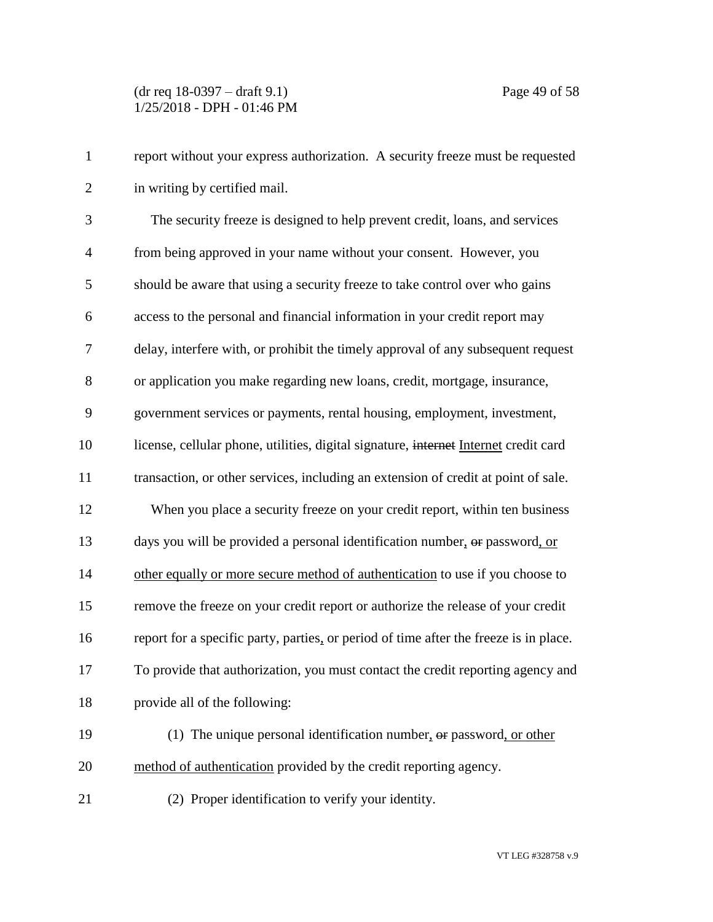| $\mathbf{1}$   | report without your express authorization. A security freeze must be requested        |
|----------------|---------------------------------------------------------------------------------------|
| $\overline{2}$ | in writing by certified mail.                                                         |
| 3              | The security freeze is designed to help prevent credit, loans, and services           |
| $\overline{4}$ | from being approved in your name without your consent. However, you                   |
| 5              | should be aware that using a security freeze to take control over who gains           |
| 6              | access to the personal and financial information in your credit report may            |
| $\tau$         | delay, interfere with, or prohibit the timely approval of any subsequent request      |
| 8              | or application you make regarding new loans, credit, mortgage, insurance,             |
| 9              | government services or payments, rental housing, employment, investment,              |
| 10             | license, cellular phone, utilities, digital signature, internet Internet credit card  |
| 11             | transaction, or other services, including an extension of credit at point of sale.    |
| 12             | When you place a security freeze on your credit report, within ten business           |
| 13             | days you will be provided a personal identification number, or password, or           |
| 14             | other equally or more secure method of authentication to use if you choose to         |
| 15             | remove the freeze on your credit report or authorize the release of your credit       |
| 16             | report for a specific party, parties, or period of time after the freeze is in place. |
| 17             | To provide that authorization, you must contact the credit reporting agency and       |
| 18             | provide all of the following:                                                         |
| 19             | (1) The unique personal identification number, $\theta$ password, or other            |
| 20             | method of authentication provided by the credit reporting agency.                     |
| 21             | (2) Proper identification to verify your identity.                                    |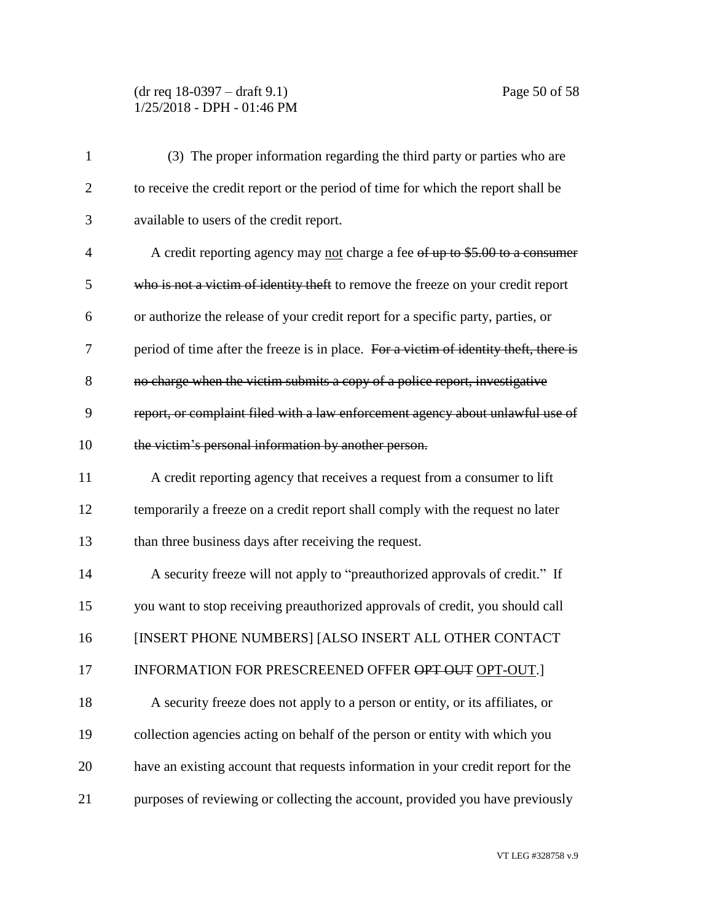# (dr req 18-0397 – draft 9.1) Page 50 of 58 1/25/2018 - DPH - 01:46 PM

| $\mathbf{1}$   | (3) The proper information regarding the third party or parties who are               |
|----------------|---------------------------------------------------------------------------------------|
| $\overline{2}$ | to receive the credit report or the period of time for which the report shall be      |
| 3              | available to users of the credit report.                                              |
| $\overline{4}$ | A credit reporting agency may not charge a fee of up to \$5.00 to a consumer          |
| 5              | who is not a victim of identity theft to remove the freeze on your credit report      |
| 6              | or authorize the release of your credit report for a specific party, parties, or      |
| 7              | period of time after the freeze is in place. For a victim of identity theft, there is |
| 8              | no charge when the victim submits a copy of a police report, investigative            |
| 9              | report, or complaint filed with a law enforcement agency about unlawful use of        |
| 10             | the victim's personal information by another person.                                  |
| 11             | A credit reporting agency that receives a request from a consumer to lift             |
| 12             | temporarily a freeze on a credit report shall comply with the request no later        |
| 13             | than three business days after receiving the request.                                 |
| 14             | A security freeze will not apply to "preauthorized approvals of credit." If           |
| 15             | you want to stop receiving preauthorized approvals of credit, you should call         |
| 16             | [INSERT PHONE NUMBERS] [ALSO INSERT ALL OTHER CONTACT                                 |
| 17             | INFORMATION FOR PRESCREENED OFFER OPT OUT OPT-OUT.]                                   |
| 18             | A security freeze does not apply to a person or entity, or its affiliates, or         |
| 19             | collection agencies acting on behalf of the person or entity with which you           |
| 20             | have an existing account that requests information in your credit report for the      |
| 21             | purposes of reviewing or collecting the account, provided you have previously         |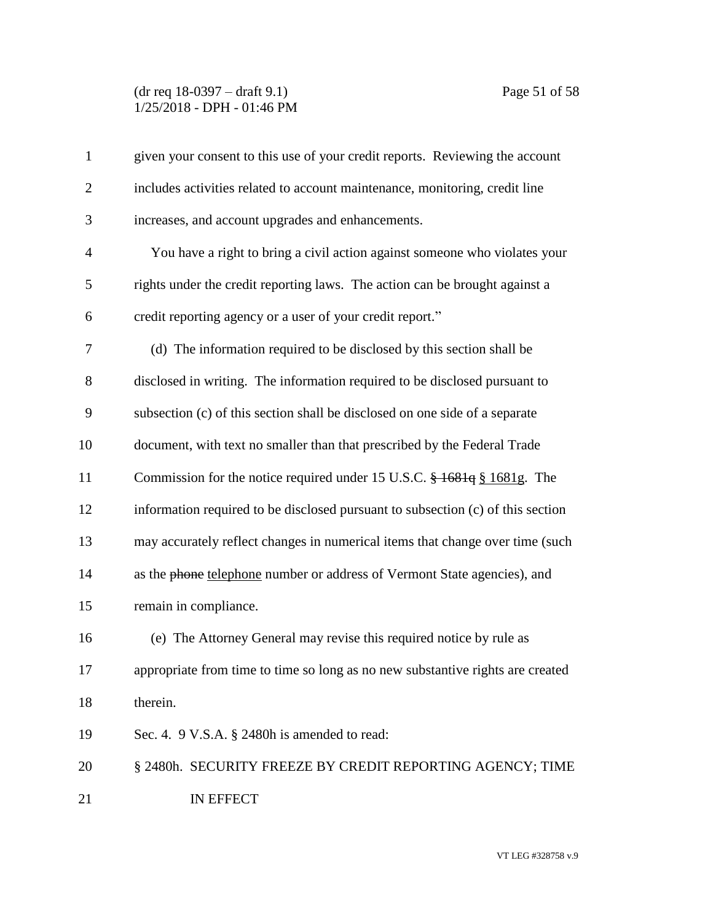## (dr req 18-0397 – draft 9.1) Page 51 of 58 1/25/2018 - DPH - 01:46 PM

| $\mathbf{1}$   | given your consent to this use of your credit reports. Reviewing the account    |
|----------------|---------------------------------------------------------------------------------|
| $\overline{2}$ | includes activities related to account maintenance, monitoring, credit line     |
| 3              | increases, and account upgrades and enhancements.                               |
| $\overline{4}$ | You have a right to bring a civil action against someone who violates your      |
| 5              | rights under the credit reporting laws. The action can be brought against a     |
| 6              | credit reporting agency or a user of your credit report."                       |
| 7              | (d) The information required to be disclosed by this section shall be           |
| 8              | disclosed in writing. The information required to be disclosed pursuant to      |
| 9              | subsection (c) of this section shall be disclosed on one side of a separate     |
| 10             | document, with text no smaller than that prescribed by the Federal Trade        |
| 11             | Commission for the notice required under 15 U.S.C. $\frac{1681q}{1681g}$ . The  |
| 12             | information required to be disclosed pursuant to subsection (c) of this section |
| 13             | may accurately reflect changes in numerical items that change over time (such   |
| 14             | as the phone telephone number or address of Vermont State agencies), and        |
| 15             | remain in compliance.                                                           |
| 16             | (e) The Attorney General may revise this required notice by rule as             |
| 17             | appropriate from time to time so long as no new substantive rights are created  |
| 18             | therein.                                                                        |
| 19             | Sec. 4. 9 V.S.A. § 2480h is amended to read:                                    |
| 20             | § 2480h. SECURITY FREEZE BY CREDIT REPORTING AGENCY; TIME                       |
| 21             | IN EFFECT                                                                       |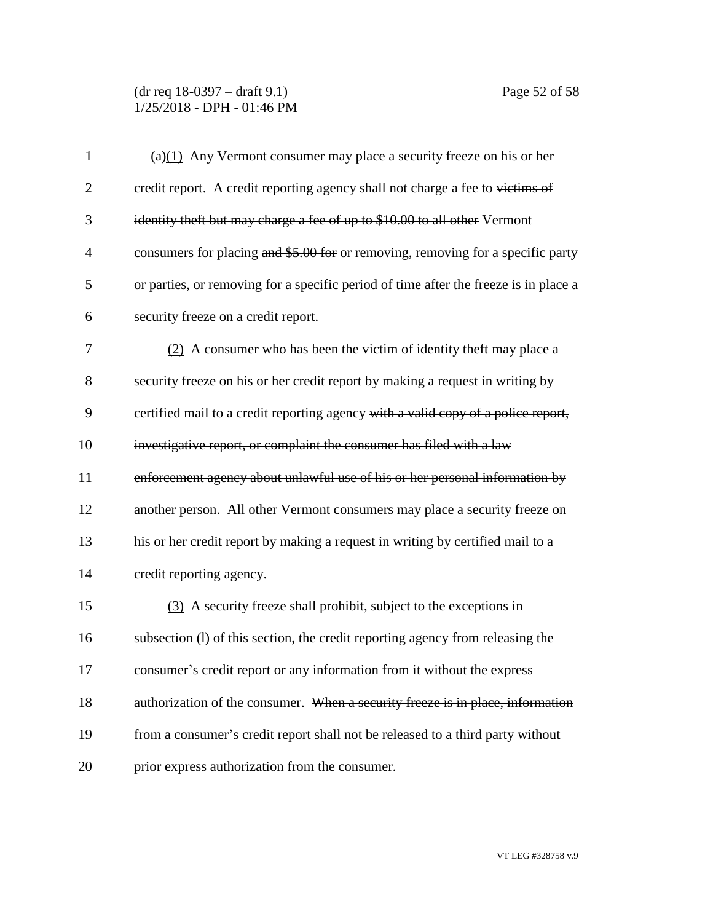## (dr req 18-0397 – draft 9.1) Page 52 of 58 1/25/2018 - DPH - 01:46 PM

| $\mathbf{1}$   | (a) $(1)$ Any Vermont consumer may place a security freeze on his or her             |
|----------------|--------------------------------------------------------------------------------------|
| $\overline{2}$ | credit report. A credit reporting agency shall not charge a fee to victims of        |
| 3              | identity theft but may charge a fee of up to \$10.00 to all other Vermont            |
| 4              | consumers for placing and \$5.00 for or removing, removing for a specific party      |
| 5              | or parties, or removing for a specific period of time after the freeze is in place a |
| 6              | security freeze on a credit report.                                                  |
| 7              | (2) A consumer who has been the victim of identity theft may place a                 |
| 8              | security freeze on his or her credit report by making a request in writing by        |
| 9              | certified mail to a credit reporting agency with a valid copy of a police report,    |
| 10             | investigative report, or complaint the consumer has filed with a law                 |
| 11             | enforcement agency about unlawful use of his or her personal information by          |
| 12             | another person. All other Vermont consumers may place a security freeze on           |
| 13             | his or her credit report by making a request in writing by certified mail to a       |
| 14             | eredit reporting agency.                                                             |
| 15             | (3) A security freeze shall prohibit, subject to the exceptions in                   |
| 16             | subsection (1) of this section, the credit reporting agency from releasing the       |
| 17             | consumer's credit report or any information from it without the express              |
| 18             | authorization of the consumer. When a security freeze is in place, information       |
| 19             | from a consumer's credit report shall not be released to a third party without       |
| 20             | prior express authorization from the consumer.                                       |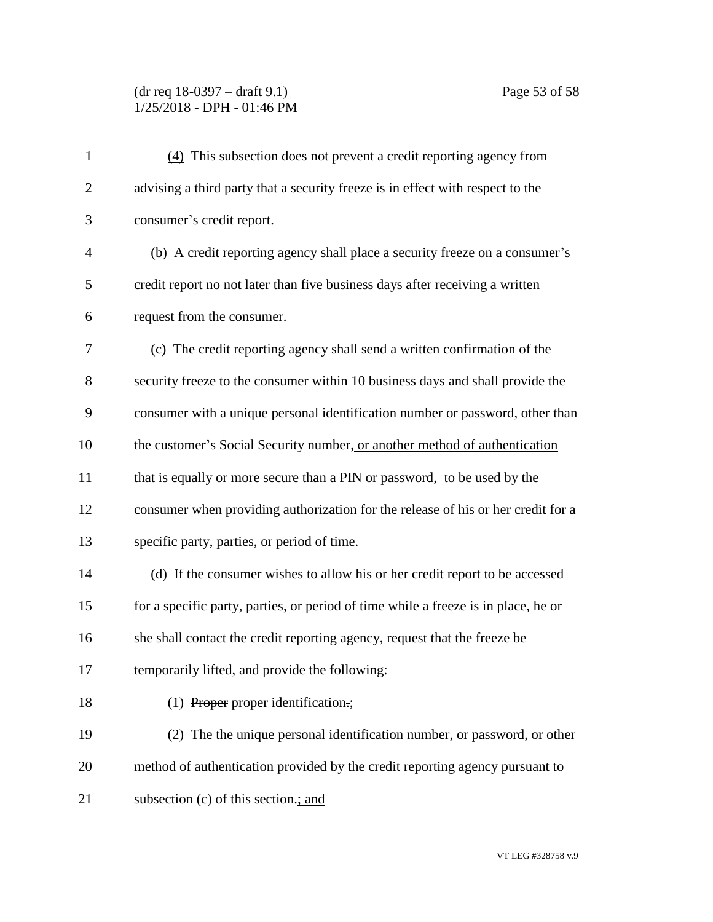## (dr req 18-0397 – draft 9.1) Page 53 of 58 1/25/2018 - DPH - 01:46 PM

| $\mathbf{1}$   | (4) This subsection does not prevent a credit reporting agency from                |
|----------------|------------------------------------------------------------------------------------|
| $\overline{2}$ | advising a third party that a security freeze is in effect with respect to the     |
| 3              | consumer's credit report.                                                          |
| $\overline{4}$ | (b) A credit reporting agency shall place a security freeze on a consumer's        |
| 5              | credit report no not later than five business days after receiving a written       |
| 6              | request from the consumer.                                                         |
| 7              | (c) The credit reporting agency shall send a written confirmation of the           |
| 8              | security freeze to the consumer within 10 business days and shall provide the      |
| 9              | consumer with a unique personal identification number or password, other than      |
| 10             | the customer's Social Security number, or another method of authentication         |
| 11             | that is equally or more secure than a PIN or password, to be used by the           |
| 12             | consumer when providing authorization for the release of his or her credit for a   |
| 13             | specific party, parties, or period of time.                                        |
| 14             | (d) If the consumer wishes to allow his or her credit report to be accessed        |
| 15             | for a specific party, parties, or period of time while a freeze is in place, he or |
| 16             | she shall contact the credit reporting agency, request that the freeze be          |
| 17             | temporarily lifted, and provide the following:                                     |
| 18             | $(1)$ Proper proper identification.;                                               |
| 19             | (2) The the unique personal identification number, $\theta$ password, or other     |
| 20             | method of authentication provided by the credit reporting agency pursuant to       |
| 21             | subsection (c) of this section ;; and                                              |
|                |                                                                                    |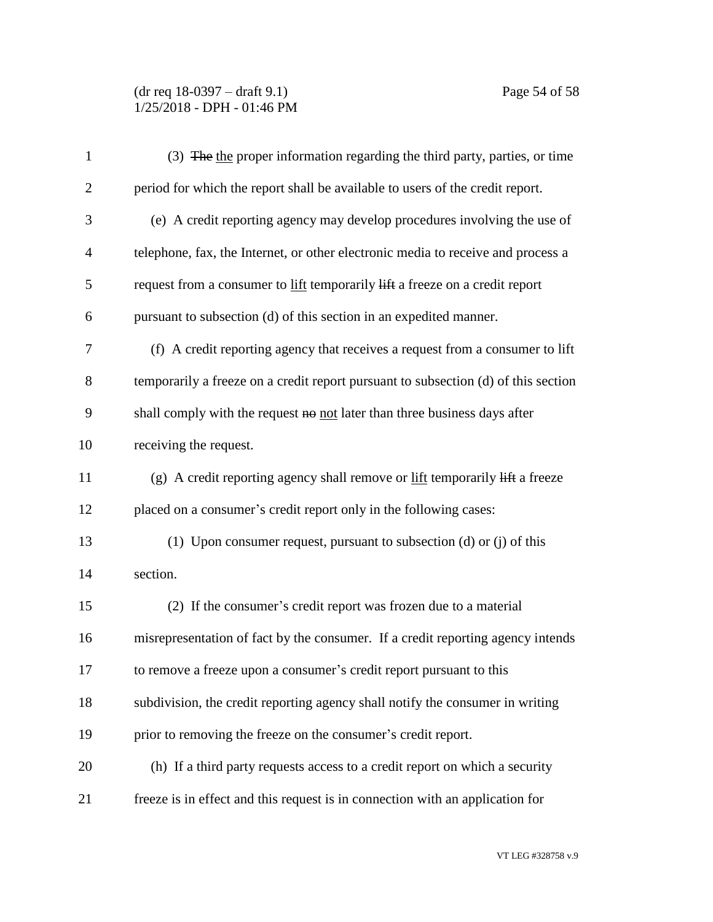(dr req 18-0397 – draft 9.1) Page 54 of 58 1/25/2018 - DPH - 01:46 PM

| $\mathbf{1}$   | (3) The the proper information regarding the third party, parties, or time                         |
|----------------|----------------------------------------------------------------------------------------------------|
| $\overline{2}$ | period for which the report shall be available to users of the credit report.                      |
| 3              | (e) A credit reporting agency may develop procedures involving the use of                          |
| $\overline{4}$ | telephone, fax, the Internet, or other electronic media to receive and process a                   |
| 5              | request from a consumer to lift temporarily lift a freeze on a credit report                       |
| 6              | pursuant to subsection (d) of this section in an expedited manner.                                 |
| 7              | (f) A credit reporting agency that receives a request from a consumer to lift                      |
| 8              | temporarily a freeze on a credit report pursuant to subsection (d) of this section                 |
| 9              | shall comply with the request $\theta$ not later than three business days after                    |
| 10             | receiving the request.                                                                             |
| 11             | (g) A credit reporting agency shall remove or $\frac{if}{if}$ temporarily $\frac{if}{if}$ a freeze |
| 12             | placed on a consumer's credit report only in the following cases:                                  |
| 13             | (1) Upon consumer request, pursuant to subsection (d) or (j) of this                               |
| 14             | section.                                                                                           |
| 15             | (2) If the consumer's credit report was frozen due to a material                                   |
| 16             | misrepresentation of fact by the consumer. If a credit reporting agency intends                    |
| 17             | to remove a freeze upon a consumer's credit report pursuant to this                                |
| 18             | subdivision, the credit reporting agency shall notify the consumer in writing                      |
| 19             | prior to removing the freeze on the consumer's credit report.                                      |
| 20             | (h) If a third party requests access to a credit report on which a security                        |
| 21             | freeze is in effect and this request is in connection with an application for                      |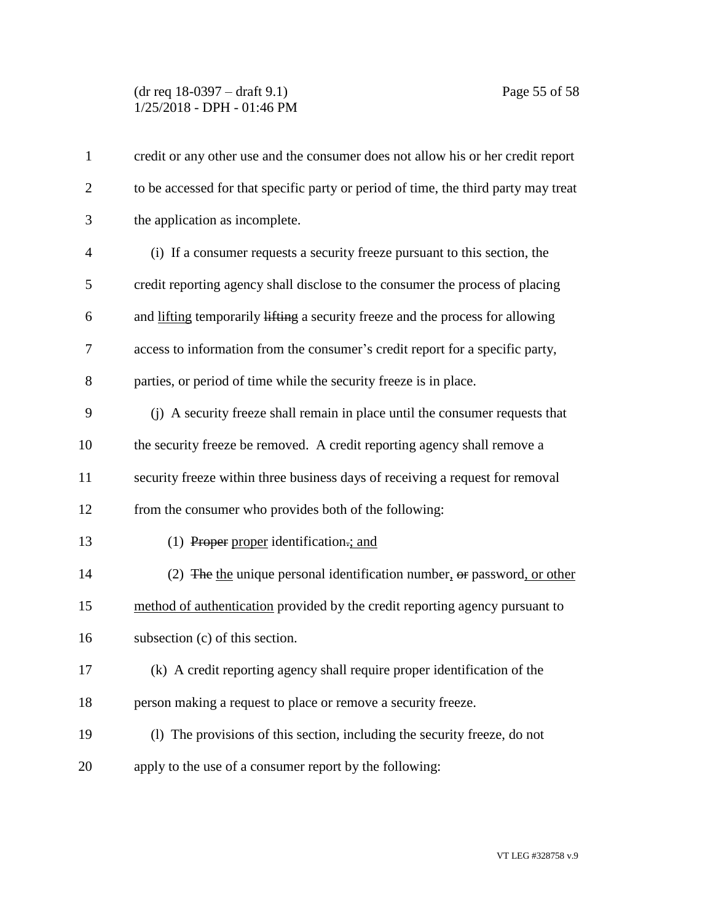## (dr req 18-0397 – draft 9.1) Page 55 of 58 1/25/2018 - DPH - 01:46 PM

| $\mathbf{1}$   | credit or any other use and the consumer does not allow his or her credit report    |
|----------------|-------------------------------------------------------------------------------------|
| $\overline{2}$ | to be accessed for that specific party or period of time, the third party may treat |
| 3              | the application as incomplete.                                                      |
| $\overline{4}$ | (i) If a consumer requests a security freeze pursuant to this section, the          |
| 5              | credit reporting agency shall disclose to the consumer the process of placing       |
| 6              | and lifting temporarily lifting a security freeze and the process for allowing      |
| $\overline{7}$ | access to information from the consumer's credit report for a specific party,       |
| 8              | parties, or period of time while the security freeze is in place.                   |
| 9              | (j) A security freeze shall remain in place until the consumer requests that        |
| 10             | the security freeze be removed. A credit reporting agency shall remove a            |
| 11             | security freeze within three business days of receiving a request for removal       |
| 12             | from the consumer who provides both of the following:                               |
| 13             | (1) Proper proper identification.; and                                              |
| 14             | (2) The the unique personal identification number, $\theta$ re password, or other   |
| 15             | method of authentication provided by the credit reporting agency pursuant to        |
| 16             | subsection (c) of this section.                                                     |
| 17             | (k) A credit reporting agency shall require proper identification of the            |
| 18             | person making a request to place or remove a security freeze.                       |
| 19             | (1) The provisions of this section, including the security freeze, do not           |
| 20             | apply to the use of a consumer report by the following:                             |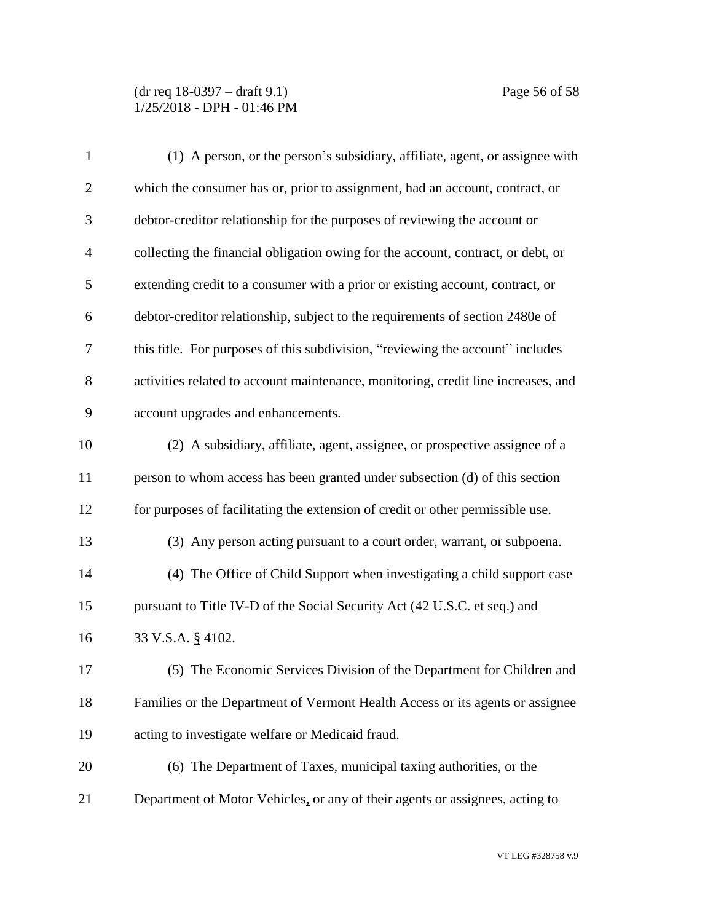| $\mathbf{1}$   | (1) A person, or the person's subsidiary, affiliate, agent, or assignee with      |
|----------------|-----------------------------------------------------------------------------------|
| $\overline{2}$ | which the consumer has or, prior to assignment, had an account, contract, or      |
| 3              | debtor-creditor relationship for the purposes of reviewing the account or         |
| 4              | collecting the financial obligation owing for the account, contract, or debt, or  |
| 5              | extending credit to a consumer with a prior or existing account, contract, or     |
| 6              | debtor-creditor relationship, subject to the requirements of section 2480e of     |
| 7              | this title. For purposes of this subdivision, "reviewing the account" includes    |
| 8              | activities related to account maintenance, monitoring, credit line increases, and |
| 9              | account upgrades and enhancements.                                                |
| 10             | (2) A subsidiary, affiliate, agent, assignee, or prospective assignee of a        |
| 11             | person to whom access has been granted under subsection (d) of this section       |
| 12             | for purposes of facilitating the extension of credit or other permissible use.    |
| 13             | (3) Any person acting pursuant to a court order, warrant, or subpoena.            |
| 14             | (4) The Office of Child Support when investigating a child support case           |
| 15             | pursuant to Title IV-D of the Social Security Act (42 U.S.C. et seq.) and         |
| 16             | 33 V.S.A. § 4102.                                                                 |
| 17             | (5) The Economic Services Division of the Department for Children and             |
| 18             | Families or the Department of Vermont Health Access or its agents or assignee     |
| 19             | acting to investigate welfare or Medicaid fraud.                                  |
| 20             | (6) The Department of Taxes, municipal taxing authorities, or the                 |
| 21             | Department of Motor Vehicles, or any of their agents or assignees, acting to      |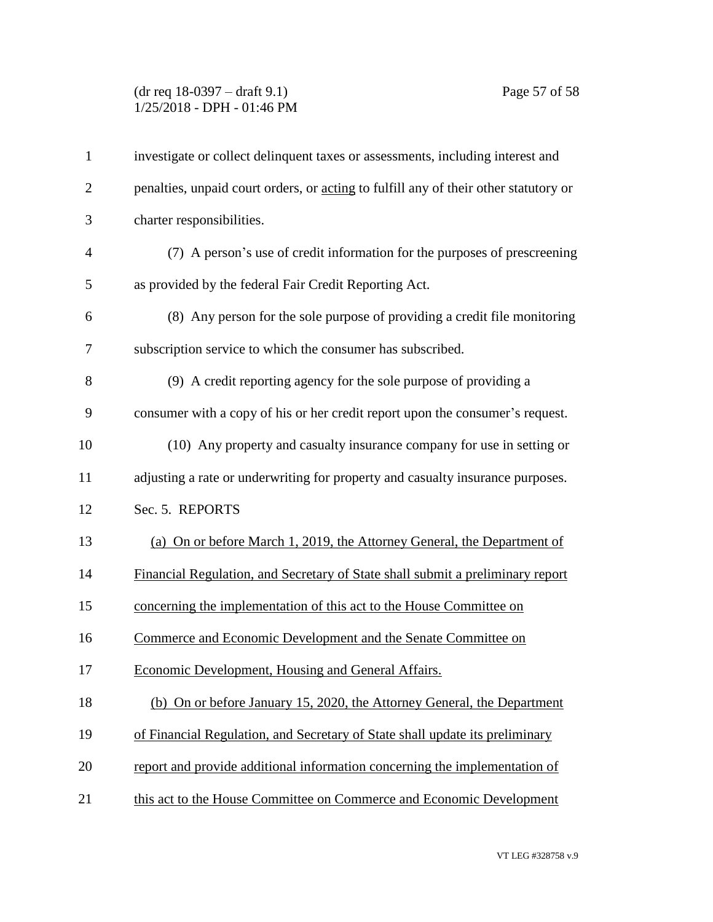## (dr req 18-0397 – draft 9.1) Page 57 of 58 1/25/2018 - DPH - 01:46 PM

| $\mathbf{1}$   | investigate or collect delinquent taxes or assessments, including interest and       |
|----------------|--------------------------------------------------------------------------------------|
| $\overline{2}$ | penalties, unpaid court orders, or acting to fulfill any of their other statutory or |
| 3              | charter responsibilities.                                                            |
| $\overline{4}$ | (7) A person's use of credit information for the purposes of prescreening            |
| 5              | as provided by the federal Fair Credit Reporting Act.                                |
| 6              | (8) Any person for the sole purpose of providing a credit file monitoring            |
| 7              | subscription service to which the consumer has subscribed.                           |
| 8              | (9) A credit reporting agency for the sole purpose of providing a                    |
| 9              | consumer with a copy of his or her credit report upon the consumer's request.        |
| 10             | (10) Any property and casualty insurance company for use in setting or               |
| 11             | adjusting a rate or underwriting for property and casualty insurance purposes.       |
| 12             | Sec. 5. REPORTS                                                                      |
| 13             | (a) On or before March 1, 2019, the Attorney General, the Department of              |
| 14             | Financial Regulation, and Secretary of State shall submit a preliminary report       |
| 15             | concerning the implementation of this act to the House Committee on                  |
| 16             | Commerce and Economic Development and the Senate Committee on                        |
| 17             | Economic Development, Housing and General Affairs.                                   |
| 18             | (b) On or before January 15, 2020, the Attorney General, the Department              |
| 19             | of Financial Regulation, and Secretary of State shall update its preliminary         |
| 20             | report and provide additional information concerning the implementation of           |
| 21             | this act to the House Committee on Commerce and Economic Development                 |